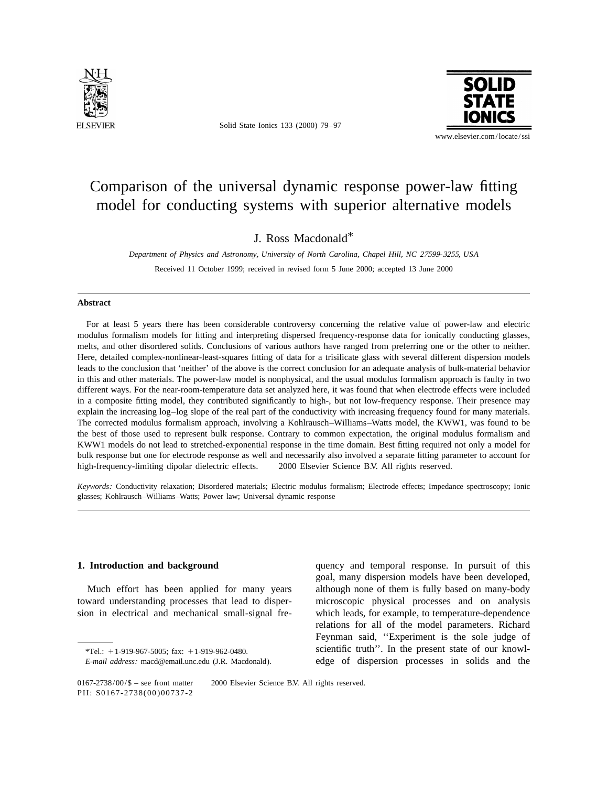

Solid State Ionics 133 (2000) 79–97



## Comparison of the universal dynamic response power-law fitting model for conducting systems with superior alternative models

J. Ross Macdonald\*

*Department of Physics and Astronomy*, *University of North Carolina*, *Chapel Hill*, *NC* <sup>27599</sup>-3255, *USA* Received 11 October 1999; received in revised form 5 June 2000; accepted 13 June 2000

### **Abstract**

For at least 5 years there has been considerable controversy concerning the relative value of power-law and electric modulus formalism models for fitting and interpreting dispersed frequency-response data for ionically conducting glasses, melts, and other disordered solids. Conclusions of various authors have ranged from preferring one or the other to neither. Here, detailed complex-nonlinear-least-squares fitting of data for a trisilicate glass with several different dispersion models leads to the conclusion that 'neither' of the above is the correct conclusion for an adequate analysis of bulk-material behavior in this and other materials. The power-law model is nonphysical, and the usual modulus formalism approach is faulty in two different ways. For the near-room-temperature data set analyzed here, it was found that when electrode effects were included in a composite fitting model, they contributed significantly to high-, but not low-frequency response. Their presence may explain the increasing log–log slope of the real part of the conductivity with increasing frequency found for many materials. The corrected modulus formalism approach, involving a Kohlrausch–Williams–Watts model, the KWW1, was found to be the best of those used to represent bulk response. Contrary to common expectation, the original modulus formalism and KWW1 models do not lead to stretched-exponential response in the time domain. Best fitting required not only a model for bulk response but one for electrode response as well and necessarily also involved a separate fitting parameter to account for high-frequency-limiting dipolar dielectric effects.  $\circ$  2000 Elsevier Science B.V. All rights reserved.

*Keywords*: Conductivity relaxation; Disordered materials; Electric modulus formalism; Electrode effects; Impedance spectroscopy; Ionic glasses; Kohlrausch–Williams–Watts; Power law; Universal dynamic response

**1. Introduction and background** quency and temporal response. In pursuit of this goal, many dispersion models have been developed, Much effort has been applied for many years although none of them is fully based on many-body toward understanding processes that lead to disper- microscopic physical processes and on analysis sion in electrical and mechanical small-signal fre- which leads, for example, to temperature-dependence relations for all of the model parameters. Richard Feynman said, ''Experiment is the sole judge of \*Tel.: <sup>1</sup>1-919-967-5005; fax: <sup>1</sup>1-919-962-0480. scientific truth''. In the present state of our knowl-*E*-*mail address*: macd@email.unc.edu (J.R. Macdonald). edge of dispersion processes in solids and the

 $0167-2738/00$ /\$ – see front matter  $\circ$  2000 Elsevier Science B.V. All rights reserved. PII: S0167-2738(00)00737-2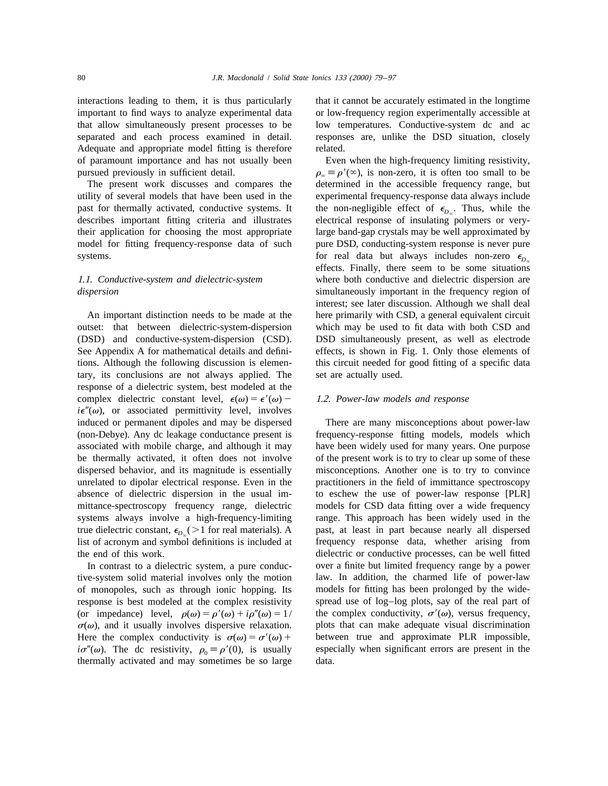interactions leading to them, it is thus particularly that it cannot be accurately estimated in the longtime important to find ways to analyze experimental data or low-frequency region experimentally accessible at that allow simultaneously present processes to be low temperatures. Conductive-system dc and ac separated and each process examined in detail. responses are, unlike the DSD situation, closely Adequate and appropriate model fitting is therefore related. of paramount importance and has not usually been Even when the high-frequency limiting resistivity,

utility of several models that have been used in the experimental frequency-response data always include past for thermally activated, conductive systems. It the non-negligible effect of  $\epsilon_{D_{\infty}}$ . Thus, while the *describes* important fitting criteria and illustrates electrical response of insulating polymers or verytheir application for choosing the most appropriate large band-gap crystals may be well approximated by model for fitting frequency-response data of such pure DSD, conducting-system response is never pure systems. **for real data but always includes non-zero**  $\epsilon_D$ 

outset: that between dielectric-system-dispersion which may be used to fit data with both CSD and (DSD) and conductive-system-dispersion (CSD). DSD simultaneously present, as well as electrode See Appendix A for mathematical details and defini- effects, is shown in Fig. 1. Only those elements of tions. Although the following discussion is elemen- this circuit needed for good fitting of a specific data tary, its conclusions are not always applied. The set are actually used. response of a dielectric system, best modeled at the complex dielectric constant level,  $\epsilon(\omega) = \epsilon'(\omega)$  - 1.2. *Power-law models and response*  $i\epsilon''(\omega)$ , or associated permittivity level, involves induced or permanent dipoles and may be dispersed There are many misconceptions about power-law (non-Debye). Any dc leakage conductance present is frequency-response fitting models, models which associated with mobile charge, and although it may have been widely used for many years. One purpose be thermally activated, it often does not involve of the present work is to try to clear up some of these dispersed behavior, and its magnitude is essentially misconceptions. Another one is to try to convince unrelated to dipolar electrical response. Even in the practitioners in the field of immittance spectroscopy absence of dielectric dispersion in the usual im- to eschew the use of power-law response [PLR] mittance-spectroscopy frequency range, dielectric models for CSD data fitting over a wide frequency systems always involve a high-frequency-limiting range. This approach has been widely used in the true dielectric constant,  $\epsilon_{D_{\infty}}$  (>1 for real materials). A past, at least in part because nearly all dispersed list of acronym and symbol definitions is included at frequency response data, whether arising from list of acronym and symbol definitions is included at the end of this work. dielectric or conductive processes, can be well fitted

thermally activated and may sometimes be so large data.

pursued previously in sufficient detail.  $\rho_{\infty} \equiv \rho'(\infty)$ , is non-zero, it is often too small to be The present work discusses and compares the determined in the accessible frequency range, but determined in the accessible frequency range, but electrical response of insulating polymers or veryeffects. Finally, there seem to be some situations 1.1. *Conductive*-*system and dielectric*-*system* where both conductive and dielectric dispersion are *dispersion* simultaneously important in the frequency region of interest; see later discussion. Although we shall deal An important distinction needs to be made at the here primarily with CSD, a general equivalent circuit

In contrast to a dielectric system, a pure conduc- over a finite but limited frequency range by a power tive-system solid material involves only the motion law. In addition, the charmed life of power-law of monopoles, such as through ionic hopping. Its models for fitting has been prolonged by the wideresponse is best modeled at the complex resistivity spread use of log–log plots, say of the real part of (or impedance) level,  $\rho(\omega) = \rho'(\omega) + i\rho''(\omega) = 1$  the complex conductivity,  $\sigma'(\omega)$ , versus frequency,  $\sigma(\omega)$ , and it usually involves dispersive relaxation. plots that can make adequate visual discrimination Here the complex conductivity is  $\sigma(\omega) = \sigma'(\omega)$  between true and approximate PLR impossible, *i* $\sigma''(\omega)$ . The dc resistivity,  $\rho_0 \equiv \rho'(0)$ , is usually especially when significant errors are present in the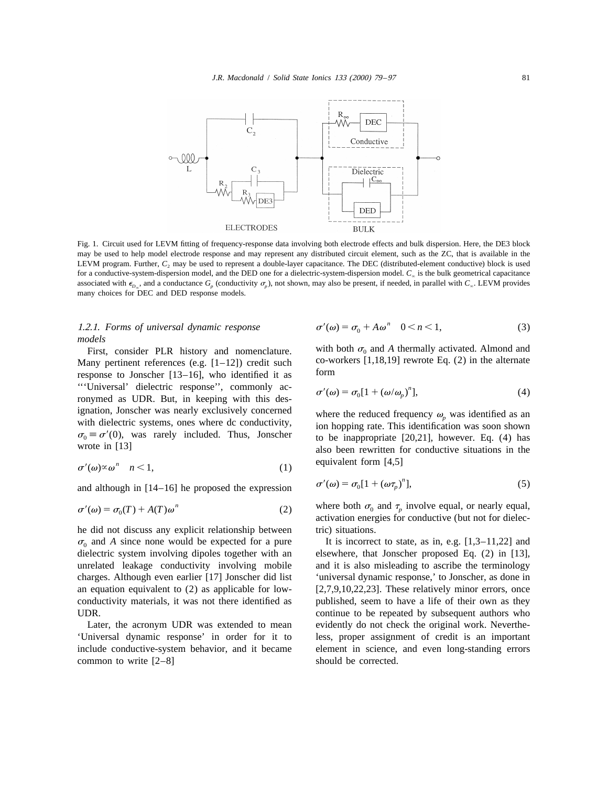

Fig. 1. Circuit used for LEVM fitting of frequency-response data involving both electrode effects and bulk dispersion. Here, the DE3 block may be used to help model electrode response and may represent any distributed circuit element, such as the ZC, that is available in the LEVM program. Further, C<sub>2</sub> may be used to represent a double-layer capacitance. The DEC (distributed-element conductive) block is used for a conductive-system-dispersion model, and the DED one for a dielectric-system-dispersion model.  $C<sub>n</sub>$  is the bulk geometrical capacitance associated with  $\epsilon_{p_{\infty}}$ , and a conductance  $G_p$  (conductivity  $\sigma_p$ ), not shown, may also be present, if needed, in parallel with  $C_{\infty}$ . LEVM provides many choices for DEC and DED response models.

### *n* 1.2.1. *Forms of universal dynamic response models*

Many pertinent references (e.g.  $[1-12]$ ) credit such co-w<br>response to Jonscher [13, 16] who identified it as form response to Jonscher  $[13-16]$ , who identified it as "'Universal' dielectric response", commonly ac-<br>ronymed as UDR. But, in keeping with this designation, Jonscher was nearly exclusively concerned where the reduced frequency  $\omega_p$  was identified as an with dielectric systems, ones where dc conductivity, ion bonning rate. This identification was soon shown

$$
\sigma'(\omega) \propto \omega^n \quad n < 1,\tag{1}
$$

and although in  $[14-16]$  he proposed the expression

$$
\sigma'(\omega) = \sigma_0(T) + A(T)\omega^n \tag{2}
$$

he did not discuss any explicit relationship between tric) situations.  $\sigma_0$  and *A* since none would be expected for a pure It is incorrect to state, as in, e.g. [1,3–11,22] and

common to write [2–8] should be corrected.

$$
\sigma'(\omega) = \sigma_0 + A\omega^n \quad 0 < n < 1,\tag{3}
$$

First, consider PLR history and nomenclature. with both  $\sigma_0$  and *A* thermally activated. Almond and any pertinent references (e.g. [1–121) credit such co-workers [1,18,19] rewrote Eq. (2) in the alternate

$$
\sigma'(\omega) = \sigma_0 [1 + (\omega/\omega_p)^n],\tag{4}
$$

ion hopping rate. This identification was soon shown  $\sigma_0 \equiv \sigma'(0)$ , was rarely included. Thus, Jonscher to be inappropriate [20,21], however. Eq. (4) has also been rewritten for conductive situations in the equivalent form [4,5]

$$
\sigma'(\omega) = \sigma_0[1 + (\omega \tau_p)^n],\tag{5}
$$

where both  $\sigma_0$  and  $\tau_n$  involve equal, or nearly equal, activation energies for conductive (but not for dielec-

dielectric system involving dipoles together with an elsewhere, that Jonscher proposed Eq. (2) in [13], unrelated leakage conductivity involving mobile and it is also misleading to ascribe the terminology charges. Although even earlier [17] Jonscher did list 'universal dynamic response,' to Jonscher, as done in an equation equivalent to (2) as applicable for low- [2,7,9,10,22,23]. These relatively minor errors, once conductivity materials, it was not there identified as published, seem to have a life of their own as they UDR. **CONTER** continue to be repeated by subsequent authors who Later, the acronym UDR was extended to mean evidently do not check the original work. Neverthe-'Universal dynamic response' in order for it to less, proper assignment of credit is an important include conductive-system behavior, and it became element in science, and even long-standing errors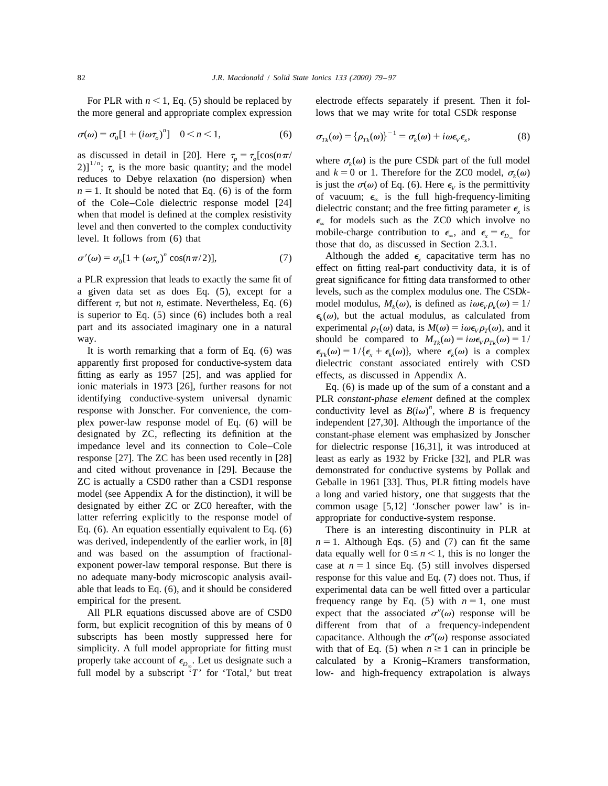the more general and appropriate complex expression lows that we may write for total CSD*k* response

$$
\sigma(\omega) = \sigma_0[1 + (i\omega\tau_o)^n] \quad 0 < n < 1,\tag{6}
$$

$$
\sigma'(\omega) = \sigma_0[1 + (\omega \tau_o)^n \cos(n\pi/2)],\tag{7}
$$

fitting as early as 1957 [25], and was applied for effects, as discussed in Appendix A. ionic materials in 1973 [26], further reasons for not Eq. (6) is made up of the sum of a constant and a designated by either ZC or ZC0 hereafter, with the common usage [5,12] 'Jonscher power law' is inlatter referring explicitly to the response model of appropriate for conductive-system response. Eq. (6). An equation essentially equivalent to Eq. (6) There is an interesting discontinuity in PLR at was derived, independently of the earlier work, in  $[8]$   $n = 1$ . Although Eqs. (5) and (7) can fit the same and was based on the assumption of fractional- data equally well for  $0 \le n < 1$ , this is no longer the exponent power-law temporal response. But there is case at  $n = 1$  since Eq. (5) still involves dispersed no adequate many-body microscopic analysis avail- response for this value and Eq. (7) does not. Thus, if able that leads to Eq. (6), and it should be considered experimental data can be well fitted over a particular empirical for the present. **frequency range by Eq.** (5) with  $n = 1$ , one must

For PLR with  $n < 1$ , Eq. (5) should be replaced by electrode effects separately if present. Then it fol-

$$
\sigma(\omega) = \sigma_0[1 + (i\omega\tau_o)^n] \quad 0 < n < 1,\tag{6} \qquad \sigma_{\tau_k}(\omega) = \left\{\rho_{\tau_k}(\omega)\right\}^{-1} = \sigma_k(\omega) + i\omega\epsilon_v\epsilon_x,\tag{8}
$$

as discussed in detail in [20]. Here  $\tau_p = \tau_o[\cos(n\pi/\theta)]^{1/n}$ ;  $\tau_o$  is the more basic quantity; and the model<br>
and  $k = 0$  or 1. Therefore for the ZC0 model,  $\sigma_k(\omega)$ <br>
reduces to Debye relaxation (no dispersion) when<br>  $n = 1$ 

Although the added  $\epsilon$ <sub>x</sub> capacitative term has no effect on fitting real-part conductivity data, it is of a PLR expression that leads to exactly the same fit of great significance for fitting data transformed to other a given data set as does Eq. (5), except for a levels, such as the complex modulus one. The CSD*k*different  $\tau$ , but not *n*, estimate. Nevertheless, Eq. (6) model modulus,  $M_k(\omega)$ , is defined as  $i\omega \epsilon_{\nu} \rho_k(\omega) = 1/2$ is superior to Eq. (5) since (6) includes both a real  $\epsilon_k(\omega)$ , but the actual modulus, as calculated from part and its associated imaginary one in a natural experimental  $\rho_r(\omega)$  data, is  $M(\omega) = i\omega\epsilon_\nu \rho_r(\omega)$ , and it experimental  $\rho_T(\omega)$  data, is  $M(\omega) = i\omega \epsilon_V \rho_T(\omega)$ , and it way. should be compared to  $M_{rk}(\omega) = i\omega \epsilon_v \rho_{rk}(\omega) = 1/2$ It is worth remarking that a form of Eq. (6) was  $\epsilon_{Tk}(\omega) = 1/\{\epsilon_x + \epsilon_k(\omega)\}$ , where  $\epsilon_k(\omega)$  is a complex apparently first proposed for conductive-system data dielectric constant associated entirely with CSD dielectric constant associated entirely with CSD

identifying conductive-system universal dynamic PLR constant-phase element defined at the complex response with Jonscher. For convenience, the com-<br>conductivity level as  $B(i\omega)^n$ , where B is frequency plex power-law response model of Eq. (6) will be independent [27,30]. Although the importance of the designated by ZC, reflecting its definition at the constant-phase element was emphasized by Jonscher impedance level and its connection to Cole–Cole for dielectric response [16,31], it was introduced at response [27]. The ZC has been used recently in [28] least as early as 1932 by Fricke [32], and PLR was and cited without provenance in [29]. Because the demonstrated for conductive systems by Pollak and ZC is actually a CSD0 rather than a CSD1 response Geballe in 1961 [33]. Thus, PLR fitting models have model (see Appendix A for the distinction), it will be a long and varied history, one that suggests that the

All PLR equations discussed above are of CSD0 expect that the associated  $\sigma''(\omega)$  response will be form, but explicit recognition of this by means of 0 different from that of a frequency-independent subscripts has been mostly suppressed here for capacitance. Although the  $\sigma''(\omega)$  response associated simplicity. A full model appropriate for fitting must with that of Eq. (5) when  $n \ge 1$  can in principle be properly take account of  $\epsilon_{D_{\infty}}$ . Let us designate such a calculated by a Kronig–Kramers transformation, full model by a subscript  $T$  for 'Total,' but treat low- and high-frequency extrapolation is always low- and high-frequency extrapolation is always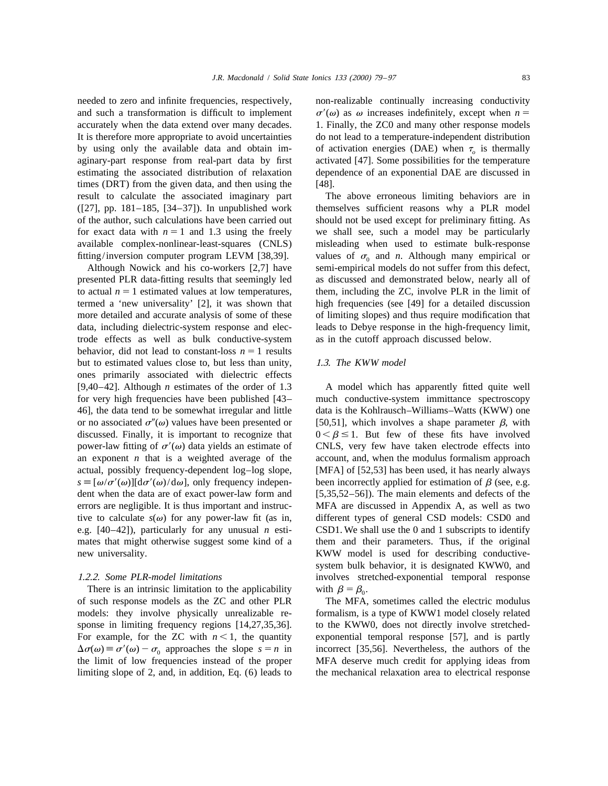needed to zero and infinite frequencies, respectively, non-realizable continually increasing conductivity and such a transformation is difficult to implement  $\sigma'(\omega)$  as  $\omega$  increases indefinitely, except when  $n =$ accurately when the data extend over many decades. 1. Finally, the ZC0 and many other response models It is therefore more appropriate to avoid uncertainties do not lead to a temperature-independent distribution by using only the available data and obtain im-<br>
of activation energies (DAE) when  $\tau_o$  is thermally<br>
aginary-part response from real-part data by first activated [47]. Some possibilities for the temperature estimating the associated distribution of relaxation dependence of an exponential DAE are discussed in times (DRT) from the given data, and then using the [48]. result to calculate the associated imaginary part The above erroneous limiting behaviors are in ([27], pp. 181–185, [34–37]). In unpublished work themselves sufficient reasons why a PLR model of the author, such calculations have been carried out should not be used except for preliminary fitting. As for exact data with  $n = 1$  and 1.3 using the freely we shall see, such a model may be particularly available complex-nonlinear-least-squares (CNLS) misleading when used to estimate bulk-response

presented PLR data-fitting results that seemingly led as discussed and demonstrated below, nearly all of to actual  $n = 1$  estimated values at low temperatures, them, including the ZC, involve PLR in the limit of termed a 'new universality' [2], it was shown that high frequencies (see [49] for a detailed discussion more detailed and accurate analysis of some of these of limiting slopes) and thus require modification that data, including dielectric-system response and elec- leads to Debye response in the high-frequency limit, trode effects as well as bulk conductive-system as in the cutoff approach discussed below. behavior, did not lead to constant-loss  $n = 1$  results but to estimated values close to, but less than unity, 1.3. *The KWW model* ones primarily associated with dielectric effects [9,40-42]. Although *n* estimates of the order of 1.3 A model which has apparently fitted quite well for very high frequencies have been published [43– much conductive-system immittance spectroscopy 46], the data tend to be somewhat irregular and little data is the Kohlrausch–Williams–Watts (KWW) one or no associated  $\sigma''(\omega)$  values have been presented or [50,51], which involves a shape parameter  $\beta$ , with discussed. Finally, it is important to recognize that  $0 < \beta \le 1$ . But few of these fits have involved power-law fitting of  $\sigma'(\omega)$  data yields an estimate of CNLS, very few have taken electrode effects into an exponent  $n$  that is a weighted average of the account, and, when the modulus formalism approach actual, possibly frequency-dependent log–log slope, [MFA] of [52,53] has been used, it has nearly always  $s = [\omega/\sigma'(\omega)][d\sigma'(\omega)/d\omega]$ , only frequency indepen- been incorrectly applied for estimation of  $\beta$  (see, e.g. dent when the data are of exact power-law form and [5,35,52–56]). The main elements and defects of the errors are negligible. It is thus important and instruc- MFA are discussed in Appendix A, as well as two tive to calculate  $s(\omega)$  for any power-law fit (as in, different types of general CSD models: CSD0 and e.g.  $[40-42]$ ), particularly for any unusual *n* esti-<br>CSD1. We shall use the 0 and 1 subscripts to identify mates that might otherwise suggest some kind of a them and their parameters. Thus, if the original new universality. The same state of the same state of the KWW model is used for describing conductive-

There is an intrinsic limitation to the applicability with  $\beta = \beta_0$ .<br>such response models as the ZC and other PLR The MFA, sometimes called the electric modulus of such response models as the ZC and other PLR

activated [47]. Some possibilities for the temperature

fitting/inversion computer program LEVM [38,39]. values of  $\sigma_0$  and *n*. Although many empirical or Although Nowick and his co-workers [2,7] have semi-empirical models do not suffer from this defect, semi-empirical models do not suffer from this defect,

system bulk behavior, it is designated KWW0, and 1.2.2. *Some PLR*-*model limitations* involves stretched-exponential temporal response

models: they involve physically unrealizable re- formalism, is a type of KWW1 model closely related sponse in limiting frequency regions [14,27,35,36]. to the KWW0, does not directly involve stretched-For example, for the ZC with  $n < 1$ , the quantity exponential temporal response [57], and is partly  $\Delta \sigma(\omega) = \sigma'(\omega) - \sigma_0$  approaches the slope  $s = n$  in incorrect [35,56]. Nevertheless, the authors of the the limit of low frequencies instead of the proper MFA deserve much credit for applying ideas from limiting slope of 2, and, in addition, Eq. (6) leads to the mechanical relaxation area to electrical response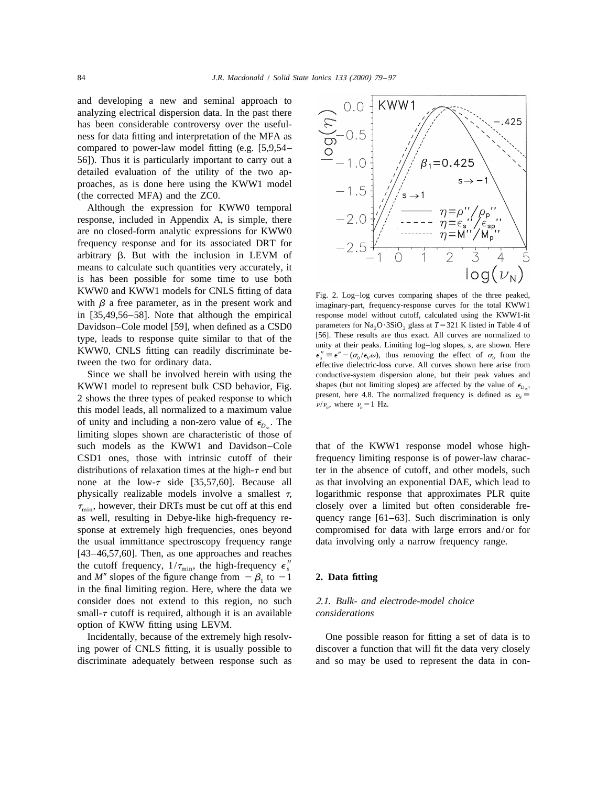and developing a new and seminal approach to analyzing electrical dispersion data. In the past there has been considerable controversy over the usefulness for data fitting and interpretation of the MFA as compared to power-law model fitting (e.g. [5,9,54– 56]). Thus it is particularly important to carry out a detailed evaluation of the utility of the two approaches, as is done here using the KWW1 model (the corrected MFA) and the ZC0.

Although the expression for KWW0 temporal response, included in Appendix A, is simple, there are no closed-form analytic expressions for KWW0 frequency response and for its associated DRT for arbitrary  $\beta$ . But with the inclusion in LEVM of means to calculate such quantities very accurately, it is has been possible for some time to use both KWW0 and KWW1 models for CNLS fitting of data  $Fig. 2. Log-log curves comparing shapes of the three peaked,$ with  $\beta$  a free parameter, as in the present work and imaginary-part, frequency-response curves for the total KWW1 in [35,49,56–58]. Note that although the empirical response model without cutoff, calculated using the KWW1-fit Davidson–Cole model [59], when defined as a CSD0 parameters for  $Na_2O.3SiO_2$  glass at  $T=321$  K listed in Table 4 of time, loods to regnong quite similar to that of the [56]. These results are thus exact. All curves are n type, leads to response quite similar to that of the<br>KWW0, CNLS fitting can readily discriminate be-<br>tween the two for ordinary data.<br>the effective dielectric-loss curve. All curves shown here arise from

**Solution** Shapes (but not limiting slopes) are affected by the value of  $\epsilon_{D_x}$ ,<br>
2 shows the three types of peaked response to which present, here 4.8. The normalized frequency is defined as  $\nu_x =$ 2 shows the three types of peaked response to which  $p(x) = p(x)$ , where  $v_n = 1$  Hz. this model leads, all normalized to a maximum value of unity and including a non-zero value of  $\epsilon$ <sub>*D*</sub>. The limiting slopes shown are characteristic of those of such models as the KWW1 and Davidson–Cole that of the KWW1 response model whose high-CSD1 ones, those with intrinsic cutoff of their frequency limiting response is of power-law characdistributions of relaxation times at the high- $\tau$  end but ter in the absence of cutoff, and other models, such none at the low- $\tau$  side [35,57,60]. Because all as that involving an exponential DAE, which lead to physically realizable models involve a smallest  $\tau$ , logarithmic response that approximates PLR quite  $\tau_{\text{min}}$ , however, their DRTs must be cut off at this end closely over a limited but often considerable fre-<br>as well, resulting in Debye-like high-frequency re- quency range [61–63]. Such discrimination is only sponse at extremely high frequencies, ones beyond compromised for data with large errors and/or for the usual immittance spectroscopy frequency range data involving only a narrow frequency range. [43–46,57,60]. Then, as one approaches and reaches the cutoff frequency,  $1/\tau_{\text{min}}$ , the high-frequency  $\epsilon''_s$ and *M<sup>n</sup>* slopes of the figure change from  $-\beta_1$  to  $-1$  **2. Data fitting** in the final limiting region. Here, where the data we consider does not extend to this region, no such 2.1. *Bulk*- *and electrode*-*model choice* small- $\tau$  cutoff is required, although it is an available *considerations* option of KWW fitting using LEVM.

Incidentally, because of the extremely high resolv- One possible reason for fitting a set of data is to ing power of CNLS fitting, it is usually possible to discover a function that will fit the data very closely discriminate adequately between response such as and so may be used to represent the data in con-



een the two for ordinary data.<br>
Since we shall be involved herein with using the conductive-system dispersion alone, but their peak values and conductive-system dispersion alone, but their peak values and shapes (but not limiting slopes) are affected by the value of  $\epsilon_{p}$ .

quency range  $[61–63]$ . Such discrimination is only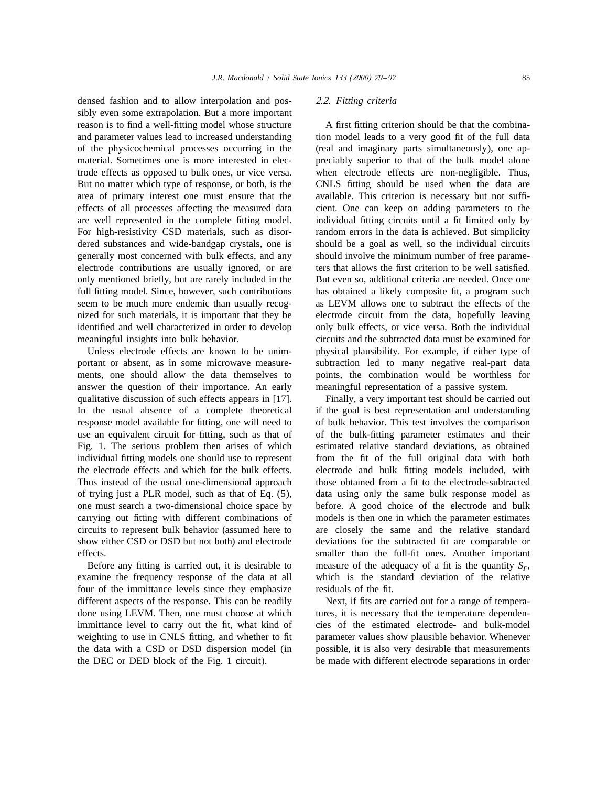densed fashion and to allow interpolation and pos- 2.2. *Fitting criteria* sibly even some extrapolation. But a more important reason is to find a well-fitting model whose structure A first fitting criterion should be that the combinaand parameter values lead to increased understanding tion model leads to a very good fit of the full data of the physicochemical processes occurring in the (real and imaginary parts simultaneously), one apmaterial. Sometimes one is more interested in elec-<br>preciably superior to that of the bulk model alone trode effects as opposed to bulk ones, or vice versa. when electrode effects are non-negligible. Thus, But no matter which type of response, or both, is the CNLS fitting should be used when the data are area of primary interest one must ensure that the available. This criterion is necessary but not suffieffects of all processes affecting the measured data cient. One can keep on adding parameters to the are well represented in the complete fitting model. individual fitting circuits until a fit limited only by For high-resistivity CSD materials, such as disor- random errors in the data is achieved. But simplicity dered substances and wide-bandgap crystals, one is should be a goal as well, so the individual circuits generally most concerned with bulk effects, and any should involve the minimum number of free parameelectrode contributions are usually ignored, or are ters that allows the first criterion to be well satisfied. only mentioned briefly, but are rarely included in the But even so, additional criteria are needed. Once one full fitting model. Since, however, such contributions has obtained a likely composite fit, a program such seem to be much more endemic than usually recog- as LEVM allows one to subtract the effects of the nized for such materials, it is important that they be electrode circuit from the data, hopefully leaving identified and well characterized in order to develop only bulk effects, or vice versa. Both the individual meaningful insights into bulk behavior. circuits and the subtracted data must be examined for

portant or absent, as in some microwave measure- subtraction led to many negative real-part data ments, one should allow the data themselves to points, the combination would be worthless for answer the question of their importance. An early meaningful representation of a passive system. qualitative discussion of such effects appears in [17]. Finally, a very important test should be carried out In the usual absence of a complete theoretical if the goal is best representation and understanding response model available for fitting, one will need to of bulk behavior. This test involves the comparison use an equivalent circuit for fitting, such as that of of the bulk-fitting parameter estimates and their Fig. 1. The serious problem then arises of which estimated relative standard deviations, as obtained individual fitting models one should use to represent from the fit of the full original data with both the electrode effects and which for the bulk effects. electrode and bulk fitting models included, with Thus instead of the usual one-dimensional approach those obtained from a fit to the electrode-subtracted of trying just a PLR model, such as that of Eq. (5), data using only the same bulk response model as one must search a two-dimensional choice space by before. A good choice of the electrode and bulk carrying out fitting with different combinations of models is then one in which the parameter estimates circuits to represent bulk behavior (assumed here to are closely the same and the relative standard show either CSD or DSD but not both) and electrode deviations for the subtracted fit are comparable or effects. smaller than the full-fit ones. Another important

examine the frequency response of the data at all four of the immittance levels since they emphasize residuals of the fit. different aspects of the response. This can be readily Next, if fits are carried out for a range of temperadone using LEVM. Then, one must choose at which tures, it is necessary that the temperature dependenimmittance level to carry out the fit, what kind of cies of the estimated electrode- and bulk-model the data with a CSD or DSD dispersion model (in possible, it is also very desirable that measurements the DEC or DED block of the Fig. 1 circuit). be made with different electrode separations in order

Unless electrode effects are known to be unim- physical plausibility. For example, if either type of

Before any fitting is carried out, it is desirable to measure of the adequacy of a fit is the quantity  $S_F$ , amine the frequency response of the data at all which is the standard deviation of the relative

weighting to use in CNLS fitting, and whether to fit parameter values show plausible behavior. Whenever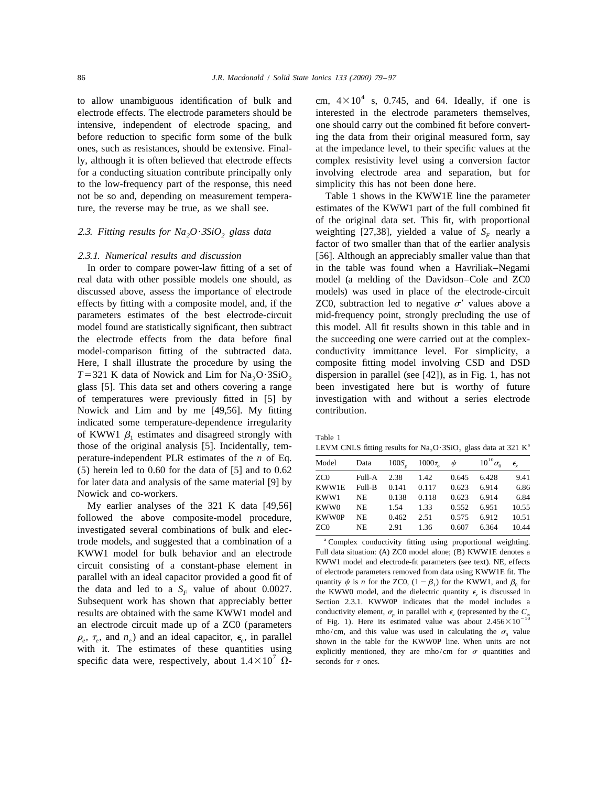to allow unambiguous identification of bulk and cm,  $4\times10^4$  s, 0.745, and 64. Ideally, if one is electrode effects. The electrode parameters should be interested in the electrode parameters themselves, intensive, independent of electrode spacing, and one should carry out the combined fit before convertbefore reduction to specific form some of the bulk ing the data from their original measured form, say ones, such as resistances, should be extensive. Final- at the impedance level, to their specific values at the ly, although it is often believed that electrode effects complex resistivity level using a conversion factor for a conducting situation contribute principally only involving electrode area and separation, but for to the low-frequency part of the response, this need simplicity this has not been done here. not be so and, depending on measurement tempera- Table 1 shows in the KWW1E line the parameter

real data with other possible models one should, as model (a melding of the Davidson–Cole and ZC0 discussed above, assess the importance of electrode models) was used in place of the electrode-circuit effects by fitting with a composite model, and, if the  $ZCO$ , subtraction led to negative  $\sigma'$  values above a parameters estimates of the best electrode-circuit mid-frequency point, strongly precluding the use of model found are statistically significant, then subtract this model. All fit results shown in this table and in the electrode effects from the data before final the succeeding one were carried out at the complexmodel-comparison fitting of the subtracted data. conductivity immittance level. For simplicity, a Here, I shall illustrate the procedure by using the composite fitting model involving CSD and DSD  $T=321$  K data of Nowick and Lim for Na<sub>2</sub>O·3SiO<sub>2</sub> dispersion in parallel (see [42]), as in Fig. 1, has not glass [5]. This data set and others covering a range been investigated here but is worthy of future glass [5]. This data set and others covering a range of temperatures were previously fitted in [5] by investigation with and without a series electrode Nowick and Lim and by me [49,56]. My fitting contribution. indicated some temperature-dependence irregularity of KWW1  $\beta_1$  estimates and disagreed strongly with those of the original analysis [5]. Incidentally, temperature-independent PLR estimates of the *n* of Eq. (5) herein led to 0.60 for the data of [5] and to 0.62 for later data and analysis of the same material [9] by Nowick and co-workers.

My earlier analyses of the  $321$  K data  $[49,56]$ followed the above composite-model procedure, investigated several combinations of bulk and electrode models, and suggested that a combination of a <sup>a</sup> Complex conductivity fitting using proportional weighting. Subsequent work has shown that appreciably better Subsequent work has shown that appreciably better

ture, the reverse may be true, as we shall see. estimates of the KWW1 part of the full combined fit of the original data set. This fit, with proportional 2.3. *Fitting results for Na<sub>2</sub>O*·3*SiO<sub>2</sub> glass data* weighting [27,38], yielded a value of  $S<sub>F</sub>$  nearly a factor of two smaller than that of the earlier analysis 2.3.1. *Numerical results and discussion* [56]. Although an appreciably smaller value than that In order to compare power-law fitting of a set of in the table was found when a Havriliak–Negami

| aв | 16 |  |
|----|----|--|
|    |    |  |

|  | LEVM CNLS fitting results for Na <sub>2</sub> O $\cdot$ 3SiO <sub>2</sub> glass data at 321 K <sup>*</sup> |  |  |  |  |  |
|--|------------------------------------------------------------------------------------------------------------|--|--|--|--|--|
|--|------------------------------------------------------------------------------------------------------------|--|--|--|--|--|

| Model           | Data   | $100S_{\scriptscriptstyle{6}}$ | $1000\tau$ | ψ     | $10^{10} \sigma_{0}$ | $\epsilon$ |
|-----------------|--------|--------------------------------|------------|-------|----------------------|------------|
| ZC <sub>0</sub> | Full-A | 2.38                           | 1.42       | 0.645 | 6.428                | 9.41       |
| KWW1E           | Full-B | 0.141                          | 0.117      | 0.623 | 6.914                | 6.86       |
| KWW1            | NE.    | 0.138                          | 0.118      | 0.623 | 6.914                | 6.84       |
| KWW0            | NE.    | 1.54                           | 1.33       | 0.552 | 6.951                | 10.55      |
| <b>KWW0P</b>    | NE.    | 0.462                          | 2.51       | 0.575 | 6.912                | 10.51      |
| ZC <sub>0</sub> | NE.    | 2.91                           | 1.36       | 0.607 | 6.364                | 10.44      |

KWW1 model for bulk behavior and an electrode Full data situation: (A) ZC0 model alone; (B) KWW1E denotes a<br>circuit consisting of a constant-phase element in KWW1 model and electrode-fit parameters (see text). NE, effects circuit consisting of a constant-phase element in<br>parallel with an ideal capacitor provided a good fit of<br>the data and led to a  $S_F$  value of about 0.0027.<br>Subsequent work has shown that appreciably better<br>moved. and the results are obtained with the same KWW1 model and<br>an electrode circuit made up of a ZC0 (parameters<br> $\rho_e$ ,  $\tau_e$ , and  $n_e$ ) and an ideal capacitor,  $\epsilon_e$ , in parallel<br>with it. The estimates of these quantities using<br>with with it. The estimates of these quantities using explicitly mentioned, they are mho/cm for  $\sigma$  quantities and specific data were, respectively, about  $1.4 \times 10^7 \Omega$ - seconds for  $\tau$  ones.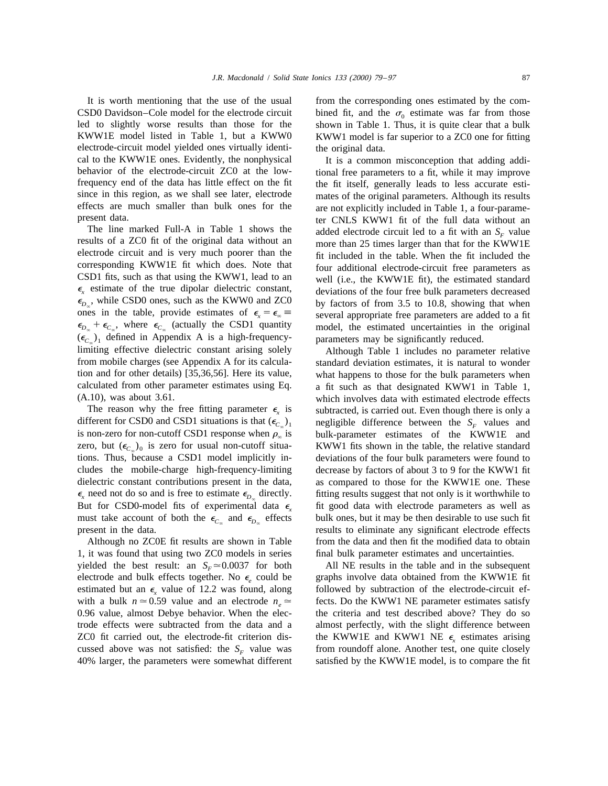It is worth mentioning that the use of the usual from the corresponding ones estimated by the com-CSD0 Davidson–Cole model for the electrode circuit bined fit, and the  $\sigma_0$  estimate was far from those led to slightly worse results than those for the shown in Table 1. Thus, it is quite clear that a bulk KWW1E model listed in Table 1, but a KWW0 KWW1 model is far superior to a ZC0 one for fitting electrode-circuit model yielded ones virtually identi- the original data. cal to the KWW1E ones. Evidently, the nonphysical It is a common misconception that adding addibehavior of the electrode-circuit ZC0 at the low- tional free parameters to a fit, while it may improve frequency end of the data has little effect on the fit the fit itself, generally leads to less accurate estisince in this region, as we shall see later, electrode mates of the original parameters. Although its results effects are much smaller than bulk ones for the are not explicitly included in Table 1, a four-parame-

The line marked Full-A in Table 1 shows the added electrode circuit led to a fit with an  $S_F$  value results of a ZCO fit of the original data without an *F*<sub>more</sub> than 25 times larger than that for the KWW1F electrode circuit and is very much poorer than the fit included in the table. When the fit included the corresponding KWW1E fit which does. Note that four additional electrode-circuit free parameters as CSD1 fits, such as that using the KWW1, lead to an well (i.e., the KWW1F fit), the estimated standard  $\epsilon_{\rm x}$  estimate of the true dipolar dielectric constant, deviations of the four free bulk parameters decreased  $\epsilon_{D}$ , while CSD0 ones, such as the KWW0 and ZC0  $\epsilon_{D_{\infty}}$ , while CSD0 ones, such as the KWW0 and ZC0 by factors of from 3.5 to 10.8, showing that when ones in the table, provide estimates of  $\epsilon_{\rm s} = \epsilon_{\infty}$  several appropriate free parameters are added to a fit  $\epsilon_{D_{\infty}} + \epsilon_{C_{\infty}}$ , where  $\epsilon_{C_{\infty}}$  (actually the CSD1 quantity model, the estimated uncertainties in the original  $(\epsilon_{C})_1$  defined in Appendix A is a high-frequency-<br>parameters may be significantly reduced. limiting effective dielectric constant arising solely Although Table 1 includes no parameter relative from mobile charges (see Appendix A for its calcula- standard deviation estimates, it is natural to wonder tion and for other details) [35,36,56]. Here its value, what happens to those for the bulk parameters when calculated from other parameter estimates using Eq. a fit such as that designated KWW1 in Table 1, (A.10), was about 3.61. which involves data with estimated electrode effects

different for CSD0 and CSD1 situations is that  $(\epsilon_{C_{\infty}})_1$  negligible difference between the *S<sub>F</sub>* values and is non-zero for non-cutoff CSD1 response when  $\rho_{\infty}$  is bulk-parameter estimates of the KWW1E and is non-zero for non-cutoff CSD1 response when  $\rho_{\infty}$  is zero, but  $(\epsilon_{C_\infty})_0$  is zero for usual non-cutoff situa-<br>tions. Thus, because a CSD1 model implicitly in-<br>deviations of the four bulk parameters were found to tions. Thus, because a CSD1 model implicitly includes the mobile-charge high-frequency-limiting decrease by factors of about 3 to 9 for the KWW1 fit dielectric constant contributions present in the data, as compared to those for the KWW1E one. These  $\epsilon_x$  need not do so and is free to estimate  $\epsilon_{D_x}$  directly. fitting results suggest that not only is it worthwhile to But for CSD0-model fits of experimental data  $\epsilon_y$  fit good data with electrode parameters as well But for CSD0-model fits of experimental data  $\epsilon_x$  fit good data with electrode parameters as well as *must* take account of both the  $\epsilon_c$  and  $\epsilon_p$  effects bulk ones, but it may be then desirable to use such fit must take account of both the  $\epsilon_{C_\infty}$  and  $\epsilon_{D_\infty}$  effects present in the data.

1, it was found that using two ZC0 models in series final bulk parameter estimates and uncertainties. yielded the best result: an  $S<sub>F</sub> \approx 0.0037$  for both All NE results in the table and in the subsequent electrode and bulk effects together. No  $\epsilon$  could be graphs involve data obtained from the KWW1E fit estimated but an  $\epsilon_x$  value of 12.2 was found, along followed by subtraction of the electrode-circuit ef-<br>*x*ith a bulk  $n \approx 0.59$  value and an electrode  $n_x \approx$  fects. Do the KWW1 NE parameter estimates satisfy with a bulk  $n \approx 0.59$  value and an electrode  $n_e \approx$  fects. Do the KWW1 NE parameter estimates satisfy 0.96 value, almost Debye behavior. When the elec-<br>the criteria and test described above? They do so trode effects were subtracted from the data and a almost perfectly, with the slight difference between ZC0 fit carried out, the electrode-fit criterion dis-<br>the KWW1E and KWW1 NE  $\epsilon$ <sub>x</sub> estimates arising cussed above was not satisfied: the  $S_F$  value was from roundoff alone. Another test, one quite closely 40% larger, the parameters were somewhat different satisfied by the KWW1E model, is to compare the fit

present data.<br>The line marked Full-A in Table 1 shows the added electrode circuit led to a fit with an S, value more than 25 times larger than that for the KWW1E well (i.e., the KWW1E fit), the estimated standard several appropriate free parameters are added to a fit

The reason why the free fitting parameter  $\epsilon$  is subtracted, is carried out. Even though there is only a results to eliminate any significant electrode effects Although no ZC0E fit results are shown in Table from the data and then fit the modified data to obtain

the criteria and test described above? They do so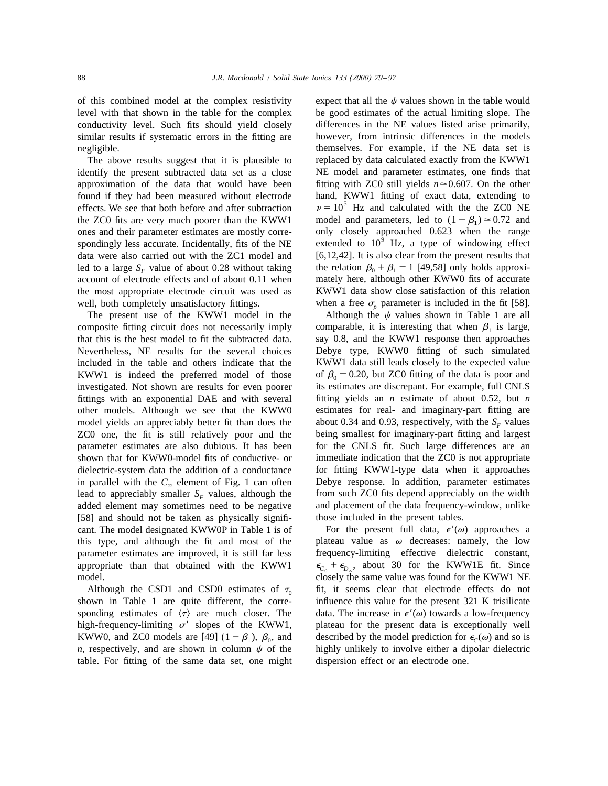of this combined model at the complex resistivity expect that all the  $\psi$  values shown in the table would level with that shown in the table for the complex be good estimates of the actual limiting slope. The conductivity level. Such fits should yield closely differences in the NE values listed arise primarily, similar results if systematic errors in the fitting are however, from intrinsic differences in the models negligible. themselves. For example, if the NE data set is

identify the present subtracted data set as a close NE model and parameter estimates, one finds that approximation of the data that would have been fitting with ZC0 still yields  $n \approx 0.607$ . On the other found if they had been measured without electrode hand, KWW1 fitting of exact data, extending to effects. We see that both before and after subtraction  $v = 10^5$  Hz and calculated with the the ZC0 NE the ZC0 fits are very much poorer than the KWW1 model and parameters, led to  $(1 - \beta_1) \approx 0.72$  and ones and their parameter estimates are mostly corre-<br>spondingly less accurate. Incidentally, fits of the NE extended to  $10^9$  Hz, a type of windowing effect data were also carried out with the ZC1 model and [6,12,42]. It is also clear from the present results that led to a large  $S_F$  value of about 0.28 without taking the relation  $\beta_0 + \beta_1 = 1$  [49,58] only holds approxi-<br>account of electrode effects and of about 0.11 when mately here, although other KWW0 fits of accurate the most appropriate electrode circuit was used as KWW1 data show close satisfaction of this relation well, both completely unsatisfactory fittings. when a free  $\sigma_p$  parameter is included in the fit [58].

composite fitting circuit does not necessarily imply comparable, it is interesting that when  $\beta_1$  is large, that this is the best model to fit the subtracted data. say 0.8, and the KWW1 response then approaches Nevertheless, NE results for the several choices Debye type, KWW0 fitting of such simulated included in the table and others indicate that the KWW1 data still leads closely to the expected value KWW1 is indeed the preferred model of those of  $\beta_0 = 0.20$ , but ZC0 fitting of the data is poor and investigated. Not shown are results for even poorer its estimates are discrepant. For example, full CNLS fittings with an exponential DAE and with several fitting yields an *n* estimate of about 0.52, but *n* other models. Although we see that the KWW0 estimates for real- and imaginary-part fitting are model yields an appreciably better fit than does the about 0.34 and 0.93, respectively, with the  $S_F$  values ZC0 one, the fit is still relatively poor and the being smallest for imaginary-part fitting and largest parameter estimates are also dubious. It has been for the CNLS fit. Such large differences are an shown that for KWW0-model fits of conductive- or immediate indication that the ZC0 is not appropriate dielectric-system data the addition of a conductance for fitting KWW1-type data when it approaches in parallel with the  $C_{\infty}$  element of Fig. 1 can often Debye response. In addition, parameter estimates lead to appreciably smaller  $S_{\infty}$  values, although the from such ZCO fits depend appreciably on the width lead to appreciably smaller  $S_F$  values, although the from such ZC0 fits depend appreciably on the width *added* element may sometimes need to be negative and placement of the data frequency-window, unlike added element may sometimes need to be negative [58] and should not be taken as physically signifi- those included in the present tables. cant. The model designated KWW0P in Table 1 is of For the present full data,  $\epsilon'(\omega)$  approaches a this type, and although the fit and most of the plateau value as  $\omega$  decreases: namely, the low parameter estimates are improved, it is still far less frequency-limiting effective dielectric constant, appropriate than that obtained with the KWW1  $\epsilon_{C_0} + \epsilon_{D_{\infty}}$ , about 30 for the KWW1E fit. Since closely the same value was found for the KWW1 NE

sponding estimates of  $\langle \tau \rangle$  are much closer. The data. The increase in  $\epsilon'(\omega)$  towards a low-frequency high-frequency-limiting  $\sigma'$  slopes of the KWW1, plateau for the present data is exceptionally well KWW0, and ZC0 models are [49]  $(1 - \beta_1)$ ,  $\beta_0$ , and described by the model prediction for  $\epsilon_c(\omega)$  and so is *n*, respectively, and are shown in column  $\psi$  of the highly unlikely to involve either a dipolar dielectric table. For fitting of the same data set, one might dispersion effect or an electrode one.

The above results suggest that it is plausible to replaced by data calculated exactly from the KWW1 mately here, although other KWW0 fits of accurate

The present use of the KWW1 model in the Although the  $\psi$  values shown in Table 1 are all

closely the same value was found for the KWW1 NE Although the CSD1 and CSD0 estimates of  $\tau_0$  fit, it seems clear that electrode effects do not shown in Table 1 are quite different, the corre-<br>influence this value for the present 321 K trisilicate in fluence this value for the present 321 K trisilicate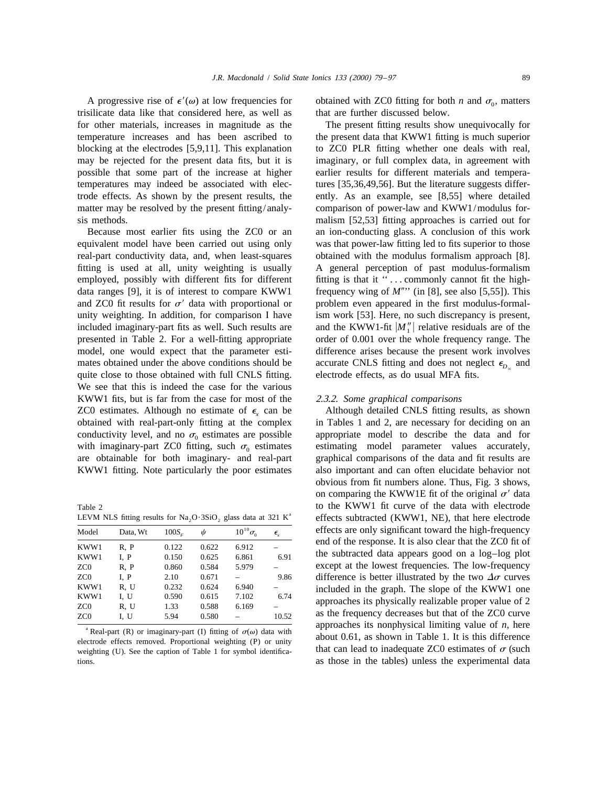A progressive rise of  $\epsilon'(\omega)$  at low frequencies for obtained with ZC0 fitting for both *n* and  $\sigma_0$ , matters trisilicate data like that considered here, as well as that are further discussed below. for other materials, increases in magnitude as the The present fitting results show unequivocally for temperature increases and has been ascribed to the present data that KWW1 fitting is much superior blocking at the electrodes [5,9,11]. This explanation to ZC0 PLR fitting whether one deals with real, may be rejected for the present data fits, but it is imaginary, or full complex data, in agreement with possible that some part of the increase at higher earlier results for different materials and temperatemperatures may indeed be associated with elec- tures [35,36,49,56]. But the literature suggests differtrode effects. As shown by the present results, the ently. As an example, see [8,55] where detailed matter may be resolved by the present fitting/analy-<br>comparison of power-law and KWW1/modulus forsis methods. malism [52,53] fitting approaches is carried out for

equivalent model have been carried out using only was that power-law fitting led to fits superior to those real-part conductivity data, and, when least-squares obtained with the modulus formalism approach [8]. fitting is used at all, unity weighting is usually A general perception of past modulus-formalism employed, possibly with different fits for different fitting is that it "... commonly cannot fit the highdata ranges [9], it is of interest to compare KWW1 frequency wing of *M*<sup>*m*</sup>'' (in [8], see also [5,55]). This and ZC0 fit results for  $\sigma'$  data with proportional or problem even appeared in the first modulus-formalunity weighting. In addition, for comparison I have ism work [53]. Here, no such discrepancy is present, included imaginary-part fits as well. Such results are and the KWW1-fit  $|M_1''|$  relative residuals are of the presented in Table 2. For a well-fitting appropriate order of 0.001 over the whole frequency range. The model, one would expect that the parameter esti- difference arises because the present work involves mates obtained under the above conditions should be accurate CNLS fitting and does not neglect  $\epsilon_{D_{\infty}}$  and quite close to those obtained with full CNLS fitting. electrode effects, as do usual MFA fits. quite close to those obtained with full CNLS fitting. We see that this is indeed the case for the various KWW1 fits, but is far from the case for most of the 2.3.2. *Some graphical comparisons* ZC0 estimates. Although no estimate of  $\epsilon$  can be Although detailed CNLS fitting results, as shown obtained with real-part-only fitting at the complex in Tables 1 and 2, are necessary for deciding on an conductivity level, and no  $\sigma_0$  estimates are possible appropriate model to describe the data and for with imaginary-part ZCO fitting, such  $\sigma_0$  estimates estimating model parameter values accurately, are obtainable for both imaginary- and real-part graphical comparisons of the data and fit results are KWW1 fitting. Note particularly the poor estimates also important and can often elucidate behavior not

| Model           | Data, Wt | 100S <sub>F</sub> | ψ     | $10^{10} \sigma_{0}$ | $\epsilon_{\scriptscriptstyle\!x}$ |
|-----------------|----------|-------------------|-------|----------------------|------------------------------------|
| KWW1            | R, P     | 0.122             | 0.622 | 6.912                |                                    |
| KWW1            | I, P     | 0.150             | 0.625 | 6.861                | 6.91                               |
| ZC <sub>0</sub> | R, P     | 0.860             | 0.584 | 5.979                |                                    |
| ZC <sub>0</sub> | I, P     | 2.10              | 0.671 |                      | 9.86                               |
| KWW1            | R.U      | 0.232             | 0.624 | 6.940                |                                    |
| KWW1            | I. U     | 0.590             | 0.615 | 7.102                | 6.74                               |
| ZC <sub>0</sub> | R. U     | 1.33              | 0.588 | 6.169                |                                    |
| ZC <sub>0</sub> | I.U      | 5.94              | 0.580 |                      | 10.52                              |
|                 |          |                   |       |                      |                                    |

Because most earlier fits using the ZC0 or an an ion-conducting glass. A conclusion of this work order of 0.001 over the whole frequency range. The

estimating model parameter values accurately, obvious from fit numbers alone. Thus, Fig. 3 shows, on comparing the KWW1E fit of the original  $\sigma'$  data Table 2 to the KWW1 fit curve of the data with electrode LEVM NLS fitting results for Na<sub>2</sub>O.3SiO<sub>2</sub> glass data at 321 K<sup>a</sup> effects subtracted (KWW1, NE), that here electrode effects are only significant toward the high-frequency end of the response. It is also clear that the ZC0 fit of the subtracted data appears good on a log–log plot except at the lowest frequencies. The low-frequency difference is better illustrated by the two  $\Delta\sigma$  curves included in the graph. The slope of the KWW1 one<br>approaches its physically realizable proper value of 2<br>as the frequency decreases but that of the ZC0 curve<br>approaches its nonphysical limiting value of  $n$ , here <sup>a</sup> Real-part (R) or imaginary-part (I) fitting of  $\sigma(\omega)$  data with<br>electrode effects removed. Proportional weighting (P) or unity about 0.61, as shown in Table 1. It is this difference weighting (U). See the caption of Table 1 for symbol identifica- that can lead to inadequate ZC0 estimates of  $\sigma$  (such tions. as those in the tables) unless the experimental data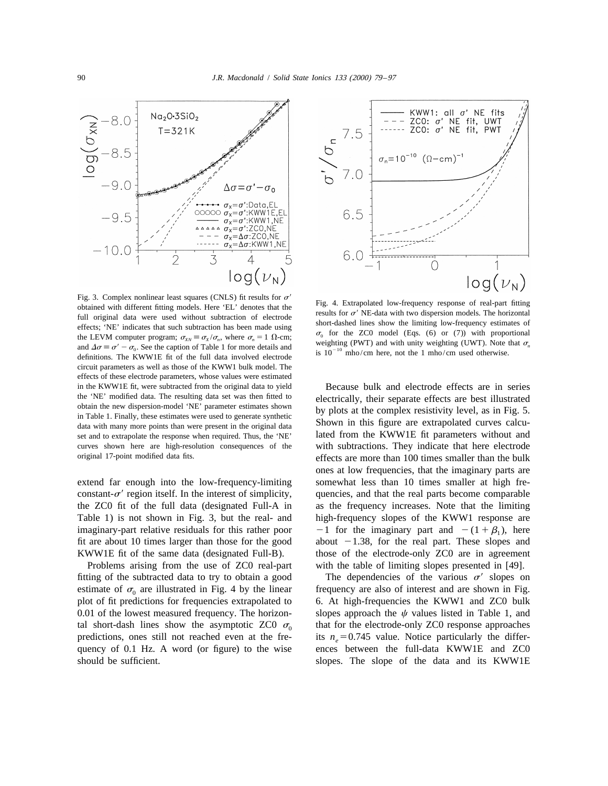

Fig. 3. Complex nonlinear least squares (CNLS) fit results for  $\sigma'$ <br>obtained with different fitting models. Here 'EL' denotes that the<br>full original data were used without subtraction of electrode<br>effects; 'NE' indicates the LEVM computer program;  $\sigma_{XN} = \sigma_X/\sigma_n$ , where  $\sigma_n = 1 \Omega$ -cm;<br>and  $\Delta \sigma = \sigma' - \sigma_0$ . See the caption of Table 1 for more details and<br>definitions. The KWW1E fit of the full data involved electrode is  $10^{-10}$  mho/cm here, circuit parameters as well as those of the KWW1 bulk model. The effects of these electrode parameters, whose values were estimated in the KWW1E fit, were subtracted from the original data to yield Because bulk and electrode effects are in series the 'NE' modified data. The resulting data set was then fitted to<br>
obtain the new dispersion-model 'NE' parameter estimates shown<br>
in Table 1. Finally, these estimates were used to generate synthetic<br>
data with many more p set and to extrapolate the response when required. Thus, the 'NE' lated from the KWW1E fit parameters without and curves shown here are high-resolution consequences of the with subtractions. They indicate that here electrode

constant- $\sigma'$  region itself. In the interest of simplicity, quencies, and that the real parts become comparable the ZC0 fit of the full data (designated Full-A in as the frequency increases. Note that the limiting Table 1) is not shown in Fig. 3, but the real- and high-frequency slopes of the KWW1 response are imaginary-part relative residuals for this rather poor  $-1$  for the imaginary part and  $-(1 + \beta_1)$ , here fit are about 10 times larger than those for the good about  $-1.38$ , for the real part. These slopes and KWW1E fit of the same data (designated Full-B). those of the electrode-only ZC0 are in agreement

fitting of the subtracted data to try to obtain a good The dependencies of the various  $\sigma'$  slopes on



original 17-point modified data fits. effects are more than 100 times smaller than the bulk ones at low frequencies, that the imaginary parts are extend far enough into the low-frequency-limiting somewhat less than 10 times smaller at high freabout  $-1.38$ , for the real part. These slopes and Problems arising from the use of ZC0 real-part with the table of limiting slopes presented in [49].

estimate of  $\sigma_0$  are illustrated in Fig. 4 by the linear frequency are also of interest and are shown in Fig. plot of fit predictions for frequencies extrapolated to 6. At high-frequencies the KWW1 and ZC0 bulk 6. At high-frequencies the KWW1 and ZC0 bulk 0.01 of the lowest measured frequency. The horizon-<br>slopes approach the  $\psi$  values listed in Table 1, and tal short-dash lines show the asymptotic ZC0  $\sigma_0$  that for the electrode-only ZC0 response approaches predictions, ones still not reached even at the fre- its  $n = 0.745$  value. Notice particularly the differquency of 0.1 Hz. A word (or figure) to the wise ences between the full-data KWW1E and ZC0 should be sufficient. Slopes. The slopes of the data and its KWW1E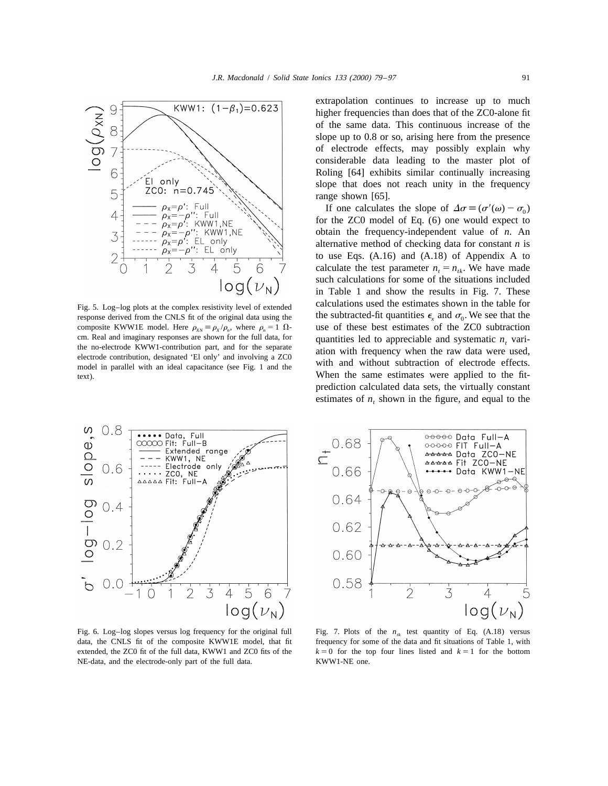

response derived from the CNLS fit of the original data using the the subtracted-fit quantities  $\epsilon_x$  and  $\sigma_0$ . We see that the *composite KWW1E model. Here*  $\rho_{xx} = \rho_x / \rho_n$ , where  $\rho_n = 1 \Omega$  use of these best estimates composite KWW1E model. Here  $\rho_{XN} = \rho_X / \rho_n$ , where  $\rho_n = 1 \Omega$ - cm. Real and imaginary responses are shown for the full data, for cm. Real and imaginary responses are shown for the full data, for<br>the no-electrode KWW1-contribution part, and for the separate<br>electrode contribution, designated 'El only' and involving a ZC0<br>model in parallel with an id text). When the same estimates were applied to the fit-

extrapolation continues to increase up to much higher frequencies than does that of the ZC0-alone fit of the same data. This continuous increase of the slope up to 0.8 or so, arising here from the presence of electrode effects, may possibly explain why considerable data leading to the master plot of Roling [64] exhibits similar continually increasing slope that does not reach unity in the frequency range shown [65].

If one calculates the slope of  $\Delta \sigma \equiv (\sigma'(\omega) - \sigma_0)$ for the ZC0 model of Eq. (6) one would expect to obtain the frequency-independent value of *n*. An alternative method of checking data for constant *n* is to use Eqs. (A.16) and (A.18) of Appendix A to calculate the test parameter  $n_t = n_{tt}$ . We have made such calculations for some of the situations included in Table 1 and show the results in Fig. 7. These Fig. 5. Log-log plots at the complex resistivity level of extended calculations used the estimates shown in the table for prediction calculated data sets, the virtually constant estimates of  $n_t$ , shown in the figure, and equal to the



00000 Data Full-A 0.68 00000 FIT Full-A  $\stackrel{+}{\subseteq}$ AAAAA Data ZCO-NE AAAAA Fit ZCO-NE 0.66 <del>. . . .</del> Data KWW1  $-NE$  $\alpha$ 0.64  $0.62$ 0.60 0.58  $\dot{3}$  $\overline{2}$  $\overline{4}$ 5  $log(\nu_N)$ 

Fig. 6. Log–log slopes versus log frequency for the original full Fig. 7. Plots of the  $n_{ik}$  test quantity of Eq. (A.18) versus data, the CNLS fit of the composite KWW1E model, that fit frequency for some of the data and data, the CNLS fit of the composite KWW1E model, that fit NE-data, and the electrode-only part of the full data. KWW1-NE one.

extended, the ZC0 fit of the full data, KWW1 and ZC0 fits of the  $k = 0$  for the top four lines listed and  $k = 1$  for the bottom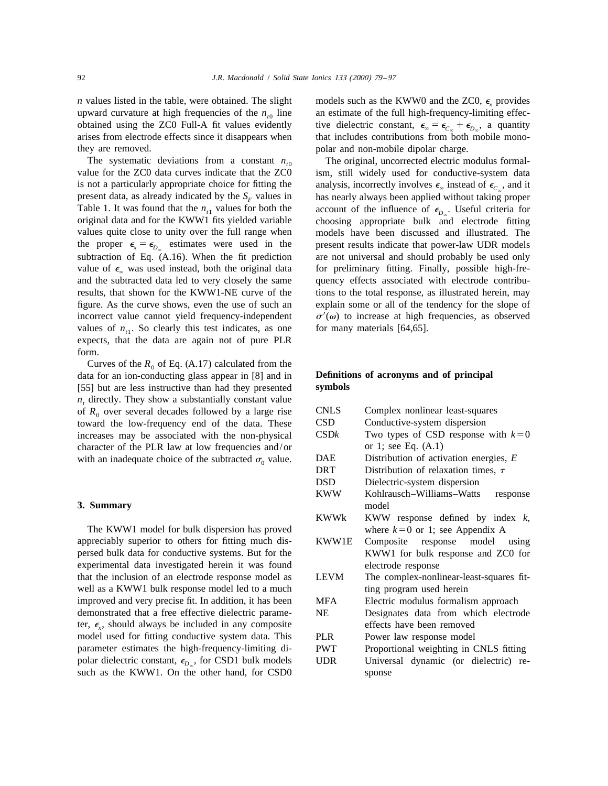*n* values listed in the table, were obtained. The slight models such as the KWW0 and the ZC0,  $\epsilon$  provides upward curvature at high frequencies of the  $n_{i0}$  line an estimate of the full high-frequency-limiting effecobtained using the ZC0 Full-A fit values evidently tive dielectric constant,  $\epsilon_{\infty} = \epsilon_{C_{\infty}} + \epsilon_{D_{\infty}}$ , a quantity arises from electrode effects since it disappears when that includes contributions from both mobile mo arises from electrode effects since it disappears when they are removed. **polar and non-mobile dipolar charge.** 

The systematic deviations from a constant  $n_{r0}$  The original, uncorrected electric modulus formal-<br>value for the ZC0 data curves indicate that the ZC0 ism, still widely used for conductive-system data is not a particularly appropriate choice for fitting the analysis, incorrectly involves  $\epsilon_{\infty}$  instead of  $\epsilon_{C_{\infty}}$ , and it present data, as already indicated by the  $S_F$  values in has nearly always been applied with present data, as already indicated by the  $S_F$  values in has nearly always been applied without taking proper Table 1. It was found that the  $n_{t_1}$  values for both the account of the influence of  $\epsilon_p$ . Useful criteria Table 1. It was found that the *n<sub>t</sub>*1 values for both the account of the influence of  $\epsilon_{D_{\infty}}$ . Useful criteria for original data and for the KWW1 fits yielded variable choosing appropriate bulk and electrode fitting values quite close to unity over the full range when models have been discussed and illustrated. The the proper  $\epsilon_x = \epsilon_{D_{\infty}}$  estimates were used in the present results indicate that power-law UDR models subtraction of Eq. (A.16). When the fit prediction are not universal and should probably be used only value of  $\epsilon_{\infty}$  was used instead, both the original data for preliminary fitting. Finally, possible high-freand the subtracted data led to very closely the same quency effects associated with electrode contriburesults, that shown for the KWW1-NE curve of the tions to the total response, as illustrated herein, may figure. As the curve shows, even the use of such an explain some or all of the tendency for the slope of incorrect value cannot yield frequency-independent  $\sigma'(\omega)$  to increase at high frequencies, as observed values of  $n_{t_1}$ . So clearly this test indicates, as one for many materials [64,65]. expects, that the data are again not of pure PLR form.

Curves of the  $R_0$  of Eq. (A.17) calculated from the data for an ion-conducting glass appear in [8] and in **Definitions of acronyms and of principal** [55] but are less instructive than had they presented **symbols**  $n_t$  directly. They show a substantially constant value of  $R_0$  over several decades followed by a large rise toward the low-frequency end of the data. These increases may be associated with the non-physical character of the PLR law at low frequencies and/or with an inadequate choice of the subtracted  $\sigma_0$  value.

### **3. Summary**

The KWW1 model for bulk dispersion has proved appreciably superior to others for fitting much dispersed bulk data for conductive systems. But for the experimental data investigated herein it was found that the inclusion of an electrode response model as well as a KWW1 bulk response model led to a much improved and very precise fit. In addition, it has been demonstrated that a free effective dielectric parameter,  $\epsilon_{r}$ , should always be included in any composite model used for fitting conductive system data. This parameter estimates the high-frequency-limiting dipolar dielectric constant,  $\epsilon_D$ , for CSD1 bulk models such as the KWW1. On the other hand, for CSD0

ism, still widely used for conductive-system data choosing appropriate bulk and electrode fitting are not universal and should probably be used only

| <b>CNLS</b> | Complex nonlinear least-squares                                                            |  |  |
|-------------|--------------------------------------------------------------------------------------------|--|--|
| <b>CSD</b>  | Conductive-system dispersion                                                               |  |  |
| CSDk        | Two types of CSD response with $k=0$                                                       |  |  |
|             | or 1; see Eq. $(A.1)$                                                                      |  |  |
| <b>DAE</b>  | Distribution of activation energies, $E$                                                   |  |  |
| <b>DRT</b>  | Distribution of relaxation times, $\tau$                                                   |  |  |
| <b>DSD</b>  | Dielectric-system dispersion                                                               |  |  |
| <b>KWW</b>  | Kohlrausch-Williams-Watts<br>response<br>model                                             |  |  |
| <b>KWWk</b> | KWW response defined by index $k$ ,<br>where $k=0$ or 1; see Appendix A                    |  |  |
| KWW1E       | Composite response model using<br>KWW1 for bulk response and ZC0 for<br>electrode response |  |  |
| <b>LEVM</b> | The complex-nonlinear-least-squares fit-<br>ting program used herein                       |  |  |
| <b>MFA</b>  | Electric modulus formalism approach                                                        |  |  |
| <b>NE</b>   | Designates data from which electrode<br>effects have been removed                          |  |  |
| <b>PLR</b>  | Power law response model                                                                   |  |  |
| <b>PWT</b>  | Proportional weighting in CNLS fitting                                                     |  |  |
| UDR         | Universal dynamic (or dielectric) re-<br>sponse                                            |  |  |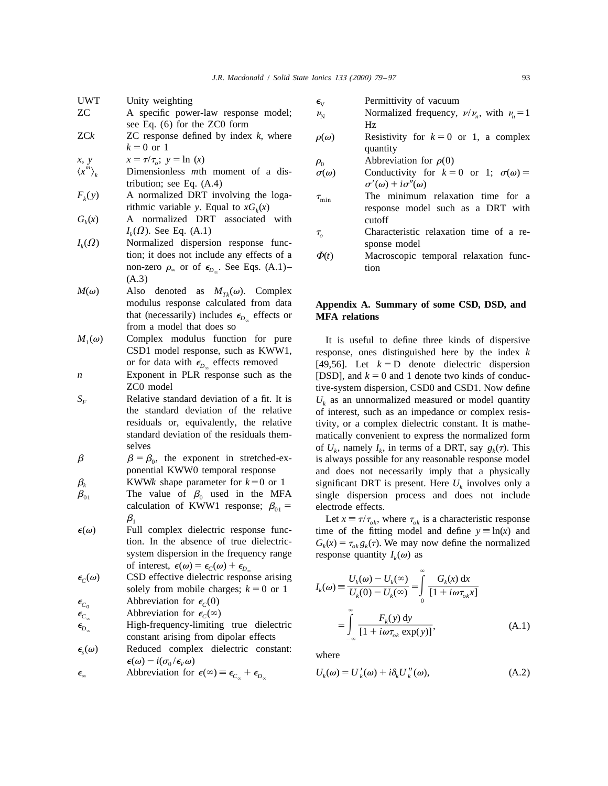- UWT Unity weighting ZC A specific power-law response model; see Eq.  $(6)$  for the ZC0 form  $ZCK$   $ZC$  response defined by index  $k$ , where  $k = 0$  or 1
- *x*, *y*  $x = \tau/\tau_o$ ; *y* = ln (*x*)  $\langle x^m \rangle_k$  Dimensionless *mth* moment of a distribution; see Eq.  $(A.4)$
- $F_k(y)$  A normalized DRT involving the logarithmic variable *y*. Equal to  $xG_k(x)$
- $G_k(x)$  A normalized DRT associated with
- $I_k(\Omega)$  Normalized dispersion response function; it does not include any effects of a  $\Phi(t)$  Macroscopic temporal relaxation funcnon-zero  $\rho_{\infty}$  or of  $\epsilon_{D_{\infty}}$ . See Eqs. (A.1)– tion (A.3)
- *M*( $\omega$ ) Also denoted as *M<sub>Tk</sub>*( $\omega$ ). Complex modulus response calculated from data that (necessarily) includes  $\epsilon_p$  effects or **MFA relations** from a model that does so
- $M_1(\omega)$  Complex modulus function for pure It is useful to define three kinds of dispersive
- *n* Exponent in PLR response such as the [DSD], and  $k = 0$  and 1 denote two kinds of conduc-
- *S<sub>F</sub>* Relative standard deviation of a fit. It is  $U_k$  as an unnormalized measured or model quantity the standard deviation of the relative of interest, such as an impedance or complex resis-
- 
- 
- calculation of KWW1 response;  $\beta_{01}$  = electrode effects.
- system dispersion in the frequency range response quantity  $I_k(\omega)$  as of interest,  $\epsilon(\omega) = \epsilon_{C}(\omega) + \epsilon_{D_{\infty}}$
- $\epsilon_c(\omega)$  CSD effective dielectric response arising<br>solely from mobile charges;  $k = 0$  or  $1$   $I_k(\omega) = \frac{U_k(\omega) U_k(\infty)}{U_k(0) U_k(\infty)} = \int_{0}^{\infty} \frac{G_k(x) dx}{[1 + i\omega \tau_{ok}x]}$

- 
- $\epsilon_{s}(\omega)$  Reduced complex dielectric constant: where  $\epsilon(\omega) - i(\sigma_0/\epsilon_v \omega)$
- $\epsilon_{\infty}$  Abbreviation for  $\epsilon(\infty) \equiv \epsilon_{C_{\infty}} + \epsilon_{D_{\infty}}$

| $\epsilon_{\rm v}$               | Permittivity of vacuum                                   |
|----------------------------------|----------------------------------------------------------|
| $\nu_{\rm N}$                    | Normalized frequency, $\nu/\nu_{n}$ , with $\nu_{n} = 1$ |
|                                  | Hz                                                       |
| $\rho(\omega)$                   | Resistivity for $k = 0$ or 1, a complex                  |
|                                  | quantity                                                 |
| $\rho_{0}$                       | Abbreviation for $\rho(0)$                               |
| $\sigma(\omega)$                 | Conductivity for $k = 0$ or 1; $\sigma(\omega) =$        |
|                                  | $\sigma'(\omega) + i\sigma''(\omega)$                    |
| $\tau_{\min}$                    | The minimum relaxation time for a                        |
|                                  | response model such as a DRT with                        |
|                                  | cutoff                                                   |
| $\tau_{\scriptscriptstyle\circ}$ | Characteristic relaxation time of a re-                  |

 $I_k(\Omega)$ . See Eq. (A.1)  $\tau_o$  Characteristic relation tesponse func- *of a relation time* of a relation of a relation of a relation of a relation of a relation of a relation of a relation of a relation of a relation of a r

# Appendix A. Summary of some CSD, DSD, and

CSD1 model response, such as KWW1, response, ones distinguished here by the index *k* or for data with  $\epsilon_{D_{\infty}}$  effects removed [49,56]. Let  $k = D$  denote dielectric dispersion Exponent in PLR response such as the [DSD], and  $k = 0$  and 1 denote two kinds of conduc-ZC0 model tive-system dispersion, CSD0 and CSD1. Now define of interest, such as an impedance or complex resisresiduals or, equivalently, the relative tivity, or a complex dielectric constant. It is mathestandard deviation of the residuals them- matically convenient to express the normalized form selves of *U<sub>k</sub>*, namely  $I_k$ , in terms of a DRT, say  $g_k(\tau)$ . This  $\beta = \beta_0$ , the exponent in stretched-ex-<br>is always possible for any reasonable response model  $\beta = \beta_0$ , the exponent in stretched-ex- is always possible for any reasonable response model ponential KWW0 temporal response and does not necessarily imply that a physically and does not necessarily imply that a physically  $\beta_k$  KWWk shape parameter for  $k=0$  or 1 significant DRT is present. Here  $U_k$  involves only a  $\beta_{01}$  The value of  $\beta_0$  used in the MFA single dispersion process and does not include  $\beta_{01}$  The value of  $\beta_0$  used in the MFA single dispersion process and does not include

 $\beta_1$  Let  $x = \tau/\tau_{ok}$ , where  $\tau_{ok}$  is a characteristic response<br>Full complex dielectric response func-<br>function of the fitting model and define  $y = \ln(x)$  and  $\epsilon(\omega)$  Full complex dielectric response func- time of the fitting model and define  $y \equiv \ln(x)$  and tion. In the absence of true dielectric-  $G_k(x) = \tau_{ak} g_k(\tau)$ . We may now define the normalized

$$
\epsilon_{c}(\omega) \qquad \text{CSD effective dielectric response arising} \text{nois} \qquad I_k(\omega) = \frac{U_k(\omega) - U_k(\infty)}{U_k(0) - U_k(\infty)} = \int_0^\infty \frac{G_k(x) dx}{[1 + i\omega \tau_{ok} x]}
$$
\n
$$
\epsilon_{c_\omega} \qquad \text{Abbreviation for } \epsilon_{c}(\infty) \qquad \text{High-frequency-limiting true dielectric} \qquad \epsilon_{\text{m}} = \int_{-\infty}^\infty \frac{F_k(y) dy}{[1 + i\omega \tau_{ok} \exp(y)]}, \qquad (A.1)
$$
\n
$$
\epsilon_{\text{m}}
$$

$$
U_k(\omega) = U'_k(\omega) + i\delta_k U''_k(\omega), \tag{A.2}
$$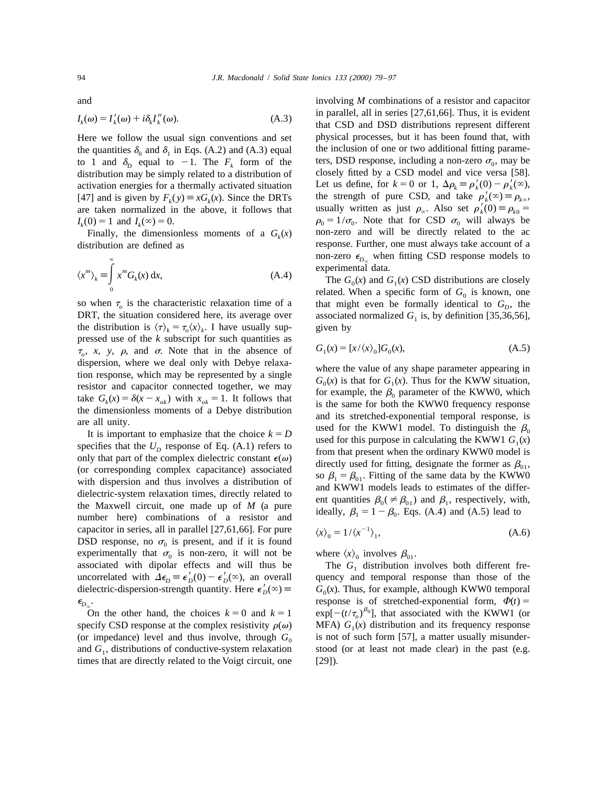$$
I_k(\omega) = I'_k(\omega) + i\delta_k I''_k(\omega).
$$
 (A.3)

the quantities  $\delta_0$  and  $\delta_1$  in Eqs. (A.2) and (A.3) equal the inclusion of one or two additional fitting parame-<br>to 1 and  $\delta_0$  equal to -1. The F, form of the ters, DSD response, including a non-zero  $\sigma_0$ , may be to 1 and  $\delta_{\rm p}$  equal to -1. The  $F_k$  form of the are taken normalized in the above, it follows that  $I_k(0) = 1$  and  $I_k(\infty) = 0$ .  $\rho_0 = 1/\sigma_0$ . Note that for CSD  $\sigma_0$  will always be

$$
\langle x^m \rangle_k \equiv \int_0^\infty x^m G_k(x) \, \mathrm{d}x,\tag{A.4}
$$

the distribution is  $\langle \tau \rangle_k = \tau_o \langle x \rangle_k$ . I have usually sup- given by pressed use of the *k* subscript for such quantities as  $\tau_a$ , *x*, *y*,  $\rho$ , and  $\sigma$ . Note that in the absence of

capacitor in series, all in parallel [27,61,66]. For pure DSD response, no  $\sigma_0$  is present, and if it is found experimentally that  $\sigma_0$  is non-zero, it will not be where  $\langle x \rangle_0$  involves  $\beta_{01}$ .<br>associated with dipolar effects and will thus be The  $G_1$  distribution is uncorrelated with  $\Delta \epsilon_p \equiv \epsilon'_p(0) - \epsilon'_p(\infty)$ , an overall quency and temporal response than those of the dielectric-dispersion-strength quantity. Here  $\epsilon'_p(\infty)$ 

(or impedance) level and thus involve, through  $G_0$  is not of such form [57], a matter usually misunderand  $G_1$ , distributions of conductive-system relaxation stood (or at least not made clear) in the past (e.g. times that are directly related to the Voigt circuit, one [29]).

and involving *M* combinations of a resistor and capacitor in parallel, all in series [27,61,66]. Thus, it is evident *that CSD* and DSD distributions represent different Here we follow the usual sign conventions and set physical processes, but it has been found that, with distribution may be simply related to a distribution of closely fitted by a CSD model and vice versa [58]. activation energies for a thermally activated situation Let us define, for  $k = 0$  or 1,  $\Delta \rho_k \equiv \rho'_k(0) - \rho'_k(\infty)$ , [47] and is given by  $F_k(y) \equiv xG_k(x)$ . Since the DRTs the strength of pure CSD, and take  $\rho'_k(\infty) \equiv \rho_{k\infty}$ , are taken normalized in the above, it follows that usually written as just  $\rho_{\infty}$ . Also set  $\rho'_k(0) \equiv \rho_{k0}$ . Finally, the dimensionless moments of a  $G_k(x)$  non-zero and will be directly related to the ac distribution are defined as response. Further, one must always take account of a non-zero  $\epsilon_{D_{\infty}}$  when fitting CSD response models to experimental data.

The  $G_0(x)$  and  $G_1(x)$  CSD distributions are closely<br>related. When a specific form of  $G_0$  is known, one so when  $\tau_o$  is the characteristic relaxation time of a that might even be formally identical to  $G_p$ , the DRT, the situation considered here, its average over associated normalized  $G_1$  is, by definition [35,36,56],

$$
G_1(x) = [x/\langle x \rangle_0] G_0(x), \tag{A.5}
$$

dispersion, where we deal only with Debye relaxa-<br>
tion response, which may be represented by a single<br>
resistor and capacitor connected together, we may<br>
take  $G_k(x) = \delta(x - x_{sk})$  with  $x_{wk} = 1$ . It follows that<br>
the dimensio

$$
\langle x \rangle_0 = 1/\langle x^{-1} \rangle_1,\tag{A.6}
$$

The  $G_1$  distribution involves both different fre- $G_0(x)$ . Thus, for example, although KWW0 temporal response is of stretched-exponential form,  $\Phi(t)$  =  $\epsilon_{D_{\infty}}$ .<br>
On the other hand, the choices  $k = 0$  and  $k = 1$  exp $[-(t/\tau_{\alpha})^{\beta_0}]$ , that associated with the KWW1 (or specify CSD response at the complex resistivity  $\rho(\omega)$  MFA)  $G_1(x)$  distribution and its frequency response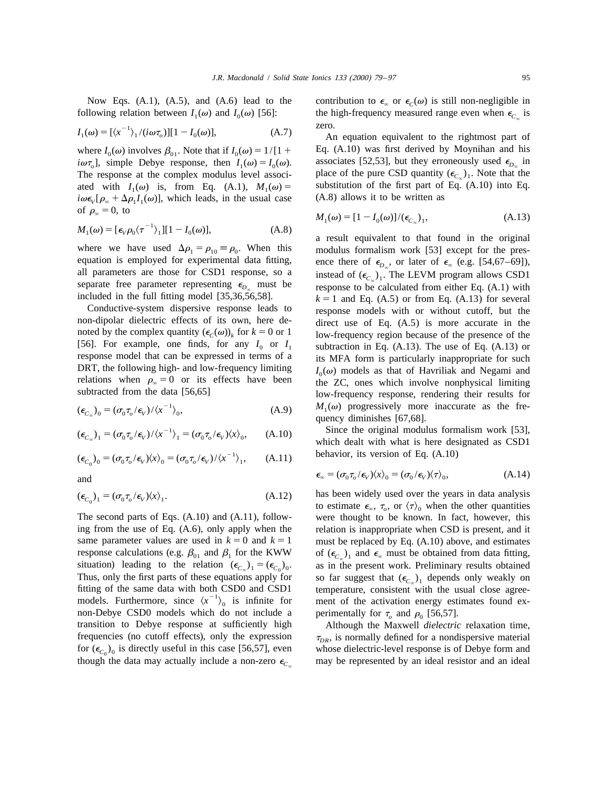Now Eqs. (A.1), (A.5), and (A.6) lead to the contribution to  $\epsilon_{\infty}$  or  $\epsilon_c(\omega)$  is still non-negligible in

$$
I_1(\omega) = [\langle x^{-1} \rangle_1 / (i\omega \tau_o)][1 - I_0(\omega)], \tag{A.7}
$$

ated with  $I_1(\omega)$  is, from Eq. (A.1),  $M_1(\omega) =$  substitution of the first part of  $i\omega \in [0 + \Delta \omega, L(\omega)]$ , which leads, in the usual case (A.8) allows it to be written as  $i\omega \epsilon_{V}[\rho_{\infty} + \Delta \rho_{1} I_{1}(\omega)]$ , which leads, in the usual case of  $\rho_{\infty} = 0$ , to

$$
M_1(\omega) = [\epsilon_V \rho_0 \langle \tau^{-1} \rangle_1][1 - I_0(\omega)], \tag{A.8}
$$

$$
(\epsilon_{C_{\infty}})_{0} = (\sigma_{0}\tau_{o}/\epsilon_{V})/\langle x^{-1} \rangle_{0}, \tag{A.9}
$$

$$
(\epsilon_{C_{\infty}})_1 = (\sigma_0 \tau_o / \epsilon_V) / \langle x^{-1} \rangle_1 = (\sigma_0 \tau_o / \epsilon_V) \langle x \rangle_0, \quad (A.10)
$$

$$
(\epsilon_{C_0})_0 = (\sigma_0 \tau_o / \epsilon_V) \langle x \rangle_0 = (\sigma_0 \tau_o / \epsilon_V) / \langle x^{-1} \rangle_1, \quad (A.11)
$$

$$
(\epsilon_{C_0})_1 = (\sigma_0 \tau_o / \epsilon_V) \langle x \rangle_1. \tag{A.12}
$$

situation) leading to the relation  $(\epsilon_{C_\infty})_1 = (\epsilon_{C_0})_0$ .<br>Thus, only the first parts of these equations apply for models. Furthermore, since  $\langle x^{-1} \rangle_0$  is infinite for ment of the activation energy estimates found exnon-Debye CSD0 models which do not include a perimentally for  $\tau_o$  and  $\rho_0$  [56,57].<br>*transition to Debye response at sufficiently high* Although the Maxwell *dielectric* frequencies (no cutoff effects), only the expression  $\tau_{DR}$ , is normally defined for a nondispersive material for  $(\epsilon_{C_0})_0$  is directly useful in this case [56,57], even whose dielectric-level response is of Debye form and though the data may actually include a non-zero  $\epsilon_C$  may be represented by an ideal resistor and an ideal though the data may actually include a non-zero  $\epsilon_{\text{C}}$ 

following relation between  $I_1(\omega)$  and  $I_0(\omega)$  [56]: the high-frequency measured range even when  $\epsilon_{C}$  is zero.<br>**2** An equation equivalent to the rightmost part of

where  $I_0(\omega)$  involves  $\beta_{01}$ . Note that if  $I_0(\omega) = 1/[1 +$  Eq. (A.10) was first derived by Moynihan and his *i* $\omega \tau_o$ ], simple Debye response, then  $I_1(\omega) = I_0(\omega)$ . associates [52,53], but they erroneously used  $\epsilon_{D_\infty}$  in *The response at the complex modulus level association* place of the pure CSD quantity ( $\epsilon_{C_\infty}$ )<sub>1</sub>. place of the pure CSD quantity ( $\epsilon_{C_{\infty}}$ )<sub>1</sub>. Note that the substitution of the first part of Eq. (A.10) into Eq.

$$
M_1(\omega) = [1 - I_0(\omega)]/(\epsilon_{C_{\infty}})_1,
$$
\n(A.13)

) a result equivalent to that found in the original where we have used  $\Delta \rho_1 = \rho_{10} = \rho_0$ . When this modulus formalism work [53] except for the presequation is employed for experimental data fitting, ence there of  $\epsilon_{D_{\infty}}$ , or later of  $\epsilon_{\infty}$  (e.g. [54,67–69]), all parameters are those for CSD1 response, so a instead of  $(\epsilon_{\infty})$ . The LEVM program allows CSD1 all parameters are those for CSD1 response, so a instead of  $(\epsilon_{C_\infty})_1$ . The LEVM program allows CSD1 response to be calculated from either Eq. (A.1) with included in the full fitting model [35,36,56,58].  $k = 1$  and Eq. cluded in the full fitting model [35,36,56,58].  $k = 1$  and Eq. (A.5) or from Eq. (A.13) for several Conductive-system dispersive response leads to response models with or without cutoff but the response models with or without cutoff, but the non-dipolar dielectric effects of its own, here de-<br>direct use of Eq. (A.5) is more accurate in the noted by the complex quantity  $(\epsilon_c(\omega))_k$  for  $k = 0$  or 1 low-frequency region because of the presence of the [56]. For example, one finds, for any  $I_0$  or  $I_1$  subtraction in Eq. (A.13). The use of Eq. (A.13) or response model that can be expressed in terms of a its MFA form is particularly inappropriate for such DRT, the following high- and low-frequency limiting  $I_c(\omega)$  models as that of Havriliak and Negami and DRT, the following high- and low-frequency limiting  $I_0(\omega)$  models as that of Havriliak and Negami and relations when  $\rho_{\infty} = 0$  or its effects have been the ZC, ones which involve nonphysical limiting relations when  $\rho_{\infty} = 0$  or its effects have been the ZC, ones which involve nonphysical limiting subtracted from the data [56,65] low-frequency response, rendering their results for  $M_1(\omega)$  progressively more inaccurate as the frequency diminishes [67,68].

> Since the original modulus formalism work [53], which dealt with what is here designated as CSD1 behavior, its version of Eq. (A.10)

and 
$$
\epsilon_{\infty} = (\sigma_0 \tau_o / \epsilon_V) \langle x \rangle_0 = (\sigma_0 / \epsilon_V) \langle \tau \rangle_0, \tag{A.14}
$$

has been widely used over the years in data analysis  $\lambda$ to estimate  $\epsilon_{\infty}$ ,  $\tau_o$ , or  $\langle \tau \rangle$ <sub>0</sub> when the other quantities The second parts of Eqs. (A.10) and (A.11), follow- were thought to be known. In fact, however, this ing from the use of Eq. (A.6), only apply when the relation is inappropriate when CSD is present, and it same parameter values are used in  $k = 0$  and  $k = 1$  must be replaced by Eq. (A.10) above, and estimates response calculations (e.g.  $\beta_{01}$  and  $\beta_1$  for the KWW of  $(\epsilon_{C_\infty})_1$  and  $\epsilon_{\infty}$  must be obtained from data fitting, situation) leading to the relation  $(\epsilon_{C_\infty})_1 = (\epsilon_{C_0})_0$  as in the present work. Preliminary r Thus, only the first parts of these equations apply for so far suggest that  $(\epsilon_{C_{\infty}})_1$  depends only weakly on fitting of the same data with both CSD0 and CSD1 temperature, consistent with the usual close agree-

Although the Maxwell *dielectric* relaxation time,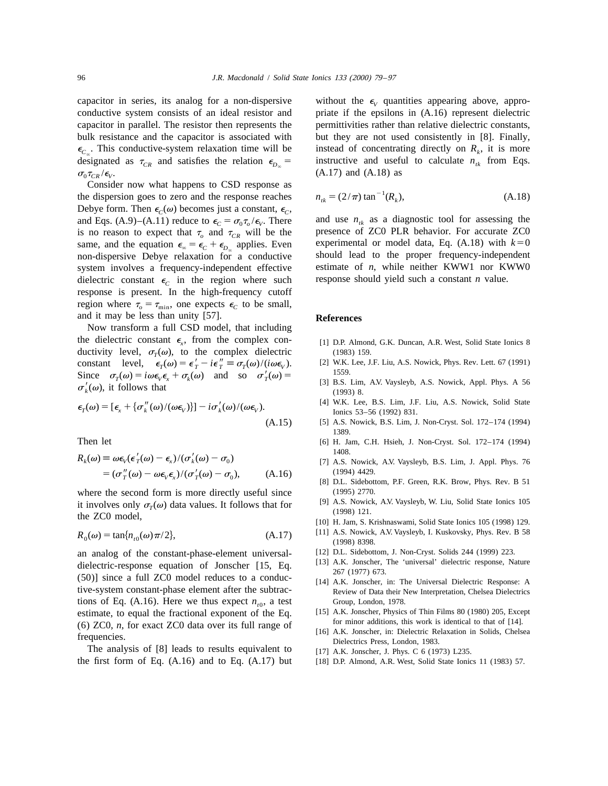capacitor in series, its analog for a non-dispersive without the  $\epsilon$  quantities appearing above, approdesignated as  $\tau_{CR}$  and satisfies the relation  $\epsilon_{D_{\infty}} = \sigma_0 \tau_{CR} / \epsilon_v$ .

Consider now what happens to CSD response as the dispersion goes to zero and the response reaches Debye form. Then  $\epsilon_c(\omega)$  becomes just a constant,  $\epsilon_c$ , and Eqs. (A.9)–(A.11) reduce to  $\epsilon_c = \sigma_0 \tau_o / \epsilon_v$ . There and use  $n_k$  as a diagnostic tool for assessing the *is* no reason to expect that  $\tau_a$  and  $\tau_{cn}$  will be the *presence of ZCO PLR behavior. For accurate ZCO* is no reason to expect that  $\tau_o$  and  $\tau_{CR}$  will be the presence of ZC0 PLR behavior. For accurate ZC0 same, and the equation  $\epsilon = \epsilon_0 + \epsilon_0$  applies. Even experimental or model data, Eq. (A.18) with  $k=0$ same, and the equation  $\epsilon_{\infty} = \epsilon_C + \epsilon_{D_{\infty}}$  applies. Even experimental or model data, Eq. (A.18) with  $k=0$  non-dispersive Debye relaxation for a conductive should lead to the proper frequency-independent non-dispersive Debye relaxation for a conductive system involves a frequency-independent effective estimate of *n*, while neither KWW1 nor KWW0 dielectric constant  $\epsilon_c$  in the region where such response should yield such a constant *n* value. response is present. In the high-frequency cutoff region where  $\tau_o = \tau_{\min}$ , one expects  $\epsilon_c$  to be small, and it may be less than unity [57]. **References** 

Now transform a full CSD model, that including the dielectric constant  $\epsilon_x$ , from the complex con- *[1]* D.P. Almond, G.K. Duncan, A.R. West, Solid State Ionics 8 ductivity level,  $\sigma_T(\omega)$ , to the complex dielectric (1983) 159. constant level,  $\epsilon_T(\omega) = \epsilon_T' - i\epsilon_T'' \equiv \sigma_T(\omega) / (i\omega \epsilon_V)$ . [2] W.K. Lee, J constant level,  $\epsilon_T(\omega) = \epsilon'_T - i\epsilon''_T = \sigma_T(\omega)/(i\omega\epsilon_v)$ . [2] W.K. Lee, J.F. Liu, A.S. Nowick, Phys. Rev. Lett. 67 (1991)<br>Since  $\sigma_T(\omega) = i\omega\epsilon_v\epsilon_x + \sigma_k(\omega)$  and so  $\sigma'_T(\omega) =$  1559.<br>[3] B.S. Lim, A.V. Vaysleyb, A.S. Nowick, Appl. P

$$
\epsilon_T(\omega) = [\epsilon_x + {\sigma''_k(\omega)} / (\omega \epsilon_y)] - i \sigma'_k(\omega) / (\omega \epsilon_y).
$$
\n(A.15)

$$
R_k(\omega) \equiv \omega \epsilon_V (\epsilon'_T(\omega) - \epsilon_x) / (\sigma'_k(\omega) - \sigma_0)
$$
  
=  $(\sigma''_T(\omega) - \omega \epsilon_V \epsilon_x) / (\sigma'_T(\omega) - \sigma_0),$  (A.16)

where the second form is more directly useful since  $(1995)$  2770.<br>
it involves only  $\sigma(\omega)$  data values. It follows that for [9] A.S. Nowick, A.V. Vaysleyb, W. Liu, Solid State Ionics 105 it involves only  $\sigma_T(\omega)$  data values. It follows that for *T T* a.S. Nowick, A.V. Vaysleyb, W. Liu, Solid State Ionics 105 (1998) 121. *The ZCO model, The ZCO model, The ZCO model*, *The SCO model*, *The SCO model* 

$$
R_0(\omega) = \tan\{n_{i0}(\omega)\pi/2\},\tag{A.17}
$$

an analog of the constant-phase-element universal-<br>dielectric-response equation of Jonscher [15, Eq. [13] A.K. Jonscher, The 'universal' dielectric response, Nature<br>(50)] since a full ZCO model reduces to a conduc-<br>(14) A. tions of Eq. (A.16). Here we thus expect  $n_{r0}$ , a test Group, London, 1978.<br>
estimate to equal the fractional exponent of the Eq. [15] A.K. Jonscher, Physics of Thin Films 80 (1980) 205, Except estimate, to equal the fractional exponent of the Eq. [15] A.K. Jonscher, Physics of Thin Films 80 (1980) 205, Exce<br>(6)  $7C0$  at for export  $7C0$  date over its full range of for minor additions, this work is identical to (6)  $ZCO$ , *n*, for exact  $ZCO$  data over its full range of  $[16]$  A.K. Jonscher, in: Dielectric Relaxation in Solids, Chelsea Dielectrics Press, London, 1983.

The analysis of [8] leads to results equivalent to  $[17]$  A.K. Jonscher, J. Phys. C 6 (1973) L235. the first form of Eq. (A.16) and to Eq. (A.17) but [18] D.P. Almond, A.R. West, Solid State Ionics 11 (1983) 57.

conductive system consists of an ideal resistor and priate if the epsilons in (A.16) represent dielectric capacitor in parallel. The resistor then represents the permittivities rather than relative dielectric constants, bulk resistance and the capacitor is associated with but they are not used consistently in [8]. Finally,  $\epsilon_{C_{\infty}}$ . This conductive-system relaxation time will be instead of concentrating directly on  $R_k$ , it is more designated as  $\tau_{CR}$  and satisfies the relation  $\epsilon_{D}$  = instructive and useful to calculate  $n_{ik}$  from (A.17) and (A.18) as

$$
n_{tk} = (2/\pi) \tan^{-1}(R_k),
$$
 (A.18)

- 
- 
- 
- [4] W.K. Lee, B.S. Lim, J.F. Liu, A.S. Nowick, Solid State Ionics 53-56 (1992) 831.
- [5] A.S. Nowick, B.S. Lim, J. Non-Cryst. Sol. 172-174 (1994) 1389.
- Then let [6] H. Jam, C.H. Hsieh, J. Non-Cryst. Sol. 172–174 (1994) 1408. *<sup>R</sup>* (v) ; ve (<sup>e</sup> 9 9 (v) <sup>2</sup> <sup>e</sup> )/(<sup>s</sup> (v) <sup>2</sup> <sup>s</sup> ) *k VT x k* <sup>0</sup> [7] A.S. Nowick, A.V. Vaysleyb, B.S. Lim, J. Appl. Phys. 76
	- (1994) 4429.<br>[8] D.L. Sidebottom, P.F. Green, R.K. Brow, Phys. Rev. B 51
	-
	-
	-
	- [11] A.S. Nowick, A.V. Vaysleyb, I. Kuskovsky, Phys. Rev. B 58 *(1998) 8398*.
	-
	-
- tive-system constant-phase element after the subtrac-<br>Review of Data their New Interpretation, Chelsea Dielectrics
	-
	-
	-
	-